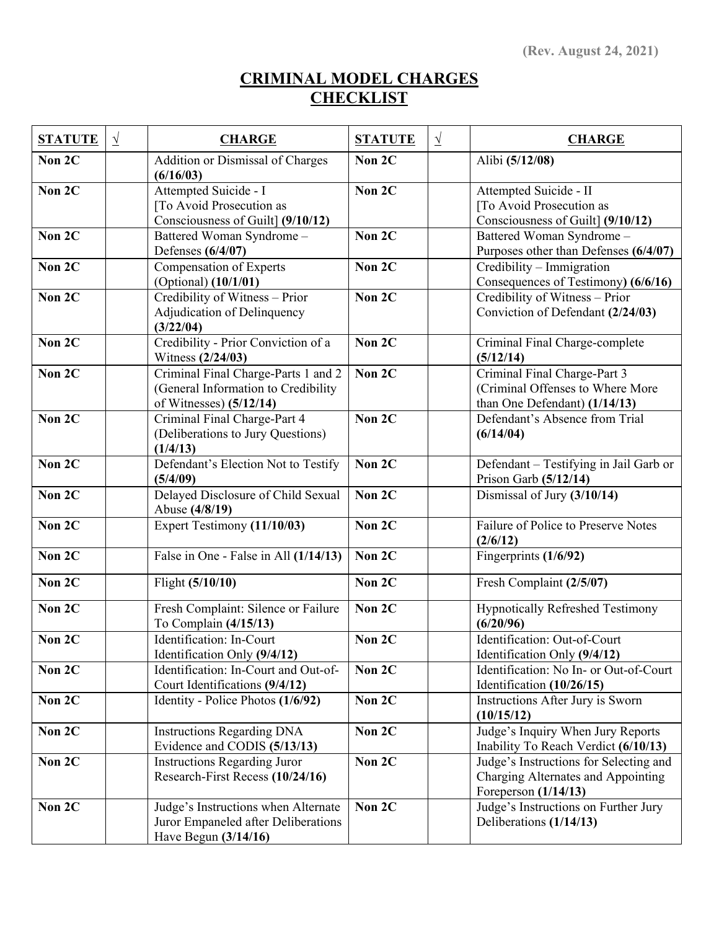| <b>STATUTE</b> | $\sqrt{ }$ | <b>CHARGE</b>                                                                                           | <b>STATUTE</b> | $\sqrt{ }$ | <b>CHARGE</b>                                                                                          |
|----------------|------------|---------------------------------------------------------------------------------------------------------|----------------|------------|--------------------------------------------------------------------------------------------------------|
| Non 2C         |            | Addition or Dismissal of Charges<br>(6/16/03)                                                           | Non 2C         |            | Alibi (5/12/08)                                                                                        |
| Non 2C         |            | Attempted Suicide - I<br>[To Avoid Prosecution as<br>Consciousness of Guilt] (9/10/12)                  | Non 2C         |            | Attempted Suicide - II<br>[To Avoid Prosecution as<br>Consciousness of Guilt] (9/10/12)                |
| Non 2C         |            | Battered Woman Syndrome-<br>Defenses (6/4/07)                                                           | Non 2C         |            | Battered Woman Syndrome-<br>Purposes other than Defenses (6/4/07)                                      |
| Non 2C         |            | Compensation of Experts<br>(Optional) (10/1/01)                                                         | Non 2C         |            | Credibility - Immigration<br>Consequences of Testimony) (6/6/16)                                       |
| Non 2C         |            | Credibility of Witness - Prior<br>Adjudication of Delinquency<br>(3/22/04)                              | Non 2C         |            | Credibility of Witness - Prior<br>Conviction of Defendant (2/24/03)                                    |
| Non 2C         |            | Credibility - Prior Conviction of a<br>Witness (2/24/03)                                                | Non 2C         |            | Criminal Final Charge-complete<br>(5/12/14)                                                            |
| Non 2C         |            | Criminal Final Charge-Parts 1 and 2<br>(General Information to Credibility<br>of Witnesses) $(5/12/14)$ | Non 2C         |            | Criminal Final Charge-Part 3<br>(Criminal Offenses to Where More<br>than One Defendant) (1/14/13)      |
| Non 2C         |            | Criminal Final Charge-Part 4<br>(Deliberations to Jury Questions)<br>(1/4/13)                           | Non 2C         |            | Defendant's Absence from Trial<br>(6/14/04)                                                            |
| Non 2C         |            | Defendant's Election Not to Testify<br>(5/4/09)                                                         | Non 2C         |            | Defendant - Testifying in Jail Garb or<br>Prison Garb $(5/12/14)$                                      |
| Non 2C         |            | Delayed Disclosure of Child Sexual<br>Abuse (4/8/19)                                                    | Non 2C         |            | Dismissal of Jury (3/10/14)                                                                            |
| Non 2C         |            | Expert Testimony (11/10/03)                                                                             | Non 2C         |            | Failure of Police to Preserve Notes<br>(2/6/12)                                                        |
| Non 2C         |            | False in One - False in All (1/14/13)                                                                   | Non 2C         |            | Fingerprints (1/6/92)                                                                                  |
| Non 2C         |            | Flight (5/10/10)                                                                                        | Non 2C         |            | Fresh Complaint (2/5/07)                                                                               |
| Non 2C         |            | Fresh Complaint: Silence or Failure<br>To Complain (4/15/13)                                            | Non 2C         |            | <b>Hypnotically Refreshed Testimony</b><br>(6/20/96)                                                   |
| Non 2C         |            | Identification: In-Court<br>Identification Only (9/4/12)                                                | Non 2C         |            | Identification: Out-of-Court<br>Identification Only (9/4/12)                                           |
| Non 2C         |            | Identification: In-Court and Out-of-<br>Court Identifications (9/4/12)                                  | Non 2C         |            | Identification: No In- or Out-of-Court<br>Identification (10/26/15)                                    |
| Non 2C         |            | Identity - Police Photos (1/6/92)                                                                       | Non 2C         |            | Instructions After Jury is Sworn<br>(10/15/12)                                                         |
| Non 2C         |            | <b>Instructions Regarding DNA</b><br>Evidence and CODIS (5/13/13)                                       | Non 2C         |            | Judge's Inquiry When Jury Reports<br>Inability To Reach Verdict (6/10/13)                              |
| Non 2C         |            | <b>Instructions Regarding Juror</b><br>Research-First Recess (10/24/16)                                 | Non 2C         |            | Judge's Instructions for Selecting and<br>Charging Alternates and Appointing<br>Foreperson $(1/14/13)$ |
| Non 2C         |            | Judge's Instructions when Alternate<br>Juror Empaneled after Deliberations<br>Have Begun (3/14/16)      | Non 2C         |            | Judge's Instructions on Further Jury<br>Deliberations (1/14/13)                                        |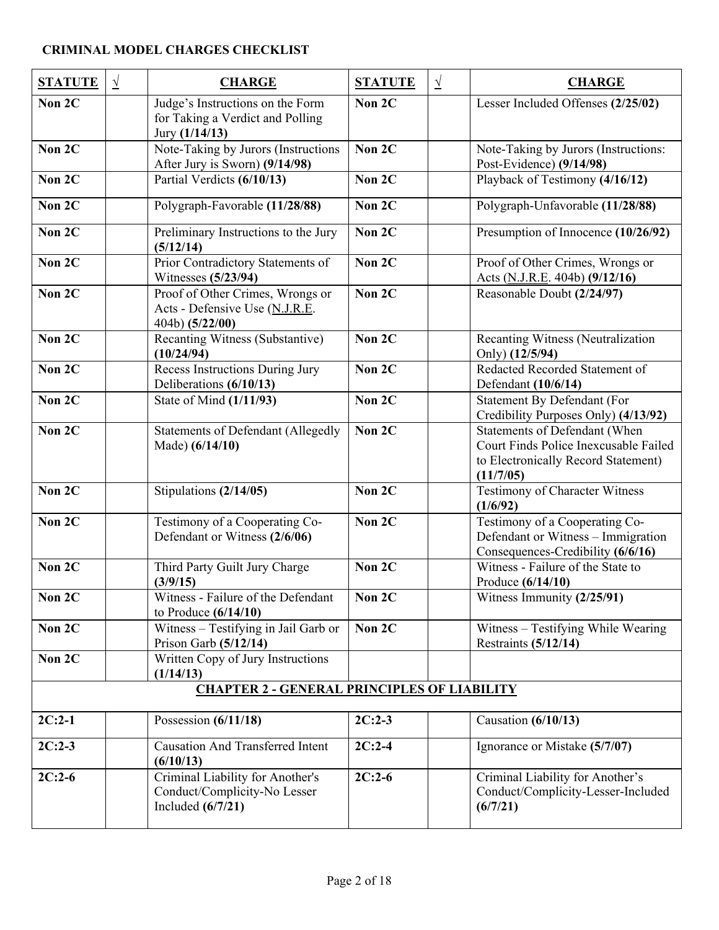| <b>STATUTE</b> | $\sqrt{ }$ | <b>CHARGE</b>                                                                           | <b>STATUTE</b> | $\sqrt{ }$ | <b>CHARGE</b>                                                                                                              |
|----------------|------------|-----------------------------------------------------------------------------------------|----------------|------------|----------------------------------------------------------------------------------------------------------------------------|
| Non 2C         |            | Judge's Instructions on the Form<br>for Taking a Verdict and Polling<br>Jury (1/14/13)  | Non 2C         |            | Lesser Included Offenses (2/25/02)                                                                                         |
| Non 2C         |            | Note-Taking by Jurors (Instructions<br>After Jury is Sworn) (9/14/98)                   | Non 2C         |            | Note-Taking by Jurors (Instructions:<br>Post-Evidence) (9/14/98)                                                           |
| Non 2C         |            | Partial Verdicts (6/10/13)                                                              | Non 2C         |            | Playback of Testimony (4/16/12)                                                                                            |
| Non 2C         |            | Polygraph-Favorable (11/28/88)                                                          | Non 2C         |            | Polygraph-Unfavorable (11/28/88)                                                                                           |
| Non 2C         |            | Preliminary Instructions to the Jury<br>(5/12/14)                                       | Non 2C         |            | Presumption of Innocence (10/26/92)                                                                                        |
| Non 2C         |            | Prior Contradictory Statements of<br>Witnesses (5/23/94)                                | Non 2C         |            | Proof of Other Crimes, Wrongs or<br>Acts (N.J.R.E. 404b) (9/12/16)                                                         |
| Non 2C         |            | Proof of Other Crimes, Wrongs or<br>Acts - Defensive Use (N.J.R.E.<br>404b) (5/22/00)   | Non 2C         |            | Reasonable Doubt (2/24/97)                                                                                                 |
| Non 2C         |            | Recanting Witness (Substantive)<br>(10/24/94)                                           | Non 2C         |            | Recanting Witness (Neutralization<br>Only) (12/5/94)                                                                       |
| Non 2C         |            | Recess Instructions During Jury<br>Deliberations (6/10/13)                              | Non 2C         |            | Redacted Recorded Statement of<br>Defendant (10/6/14)                                                                      |
| Non 2C         |            | State of Mind (1/11/93)                                                                 | Non 2C         |            | <b>Statement By Defendant (For</b><br>Credibility Purposes Only) (4/13/92)                                                 |
| Non 2C         |            | <b>Statements of Defendant (Allegedly</b><br>Made) (6/14/10)                            | Non 2C         |            | Statements of Defendant (When<br>Court Finds Police Inexcusable Failed<br>to Electronically Record Statement)<br>(11/7/05) |
| Non 2C         |            | Stipulations (2/14/05)                                                                  | Non 2C         |            | Testimony of Character Witness<br>(1/6/92)                                                                                 |
| Non 2C         |            | Testimony of a Cooperating Co-<br>Defendant or Witness (2/6/06)                         | Non 2C         |            | Testimony of a Cooperating Co-<br>Defendant or Witness - Immigration<br>Consequences-Credibility (6/6/16)                  |
| Non 2C         |            | Third Party Guilt Jury Charge<br>(3/9/15)                                               | Non 2C         |            | Witness - Failure of the State to<br>Produce $(6/14/10)$                                                                   |
| Non $2C$       |            | Witness - Failure of the Defendant<br>to Produce $(6/14/10)$                            | Non 2C         |            | Witness Immunity (2/25/91)                                                                                                 |
| Non 2C         |            | Witness - Testifying in Jail Garb or<br>Prison Garb $(5/12/14)$                         | Non 2C         |            | Witness - Testifying While Wearing<br>Restraints (5/12/14)                                                                 |
| Non 2C         |            | Written Copy of Jury Instructions<br>(1/14/13)                                          |                |            |                                                                                                                            |
|                |            | <b>CHAPTER 2 - GENERAL PRINCIPLES OF LIABILITY</b>                                      |                |            |                                                                                                                            |
| $2C:2-1$       |            | Possession $(6/11/18)$                                                                  | $2C:2-3$       |            | Causation $(6/10/13)$                                                                                                      |
| $2C:2-3$       |            | <b>Causation And Transferred Intent</b><br>(6/10/13)                                    | $2C:2-4$       |            | Ignorance or Mistake (5/7/07)                                                                                              |
| $2C:2-6$       |            | Criminal Liability for Another's<br>Conduct/Complicity-No Lesser<br>Included $(6/7/21)$ | $2C:2-6$       |            | Criminal Liability for Another's<br>Conduct/Complicity-Lesser-Included<br>(6/7/21)                                         |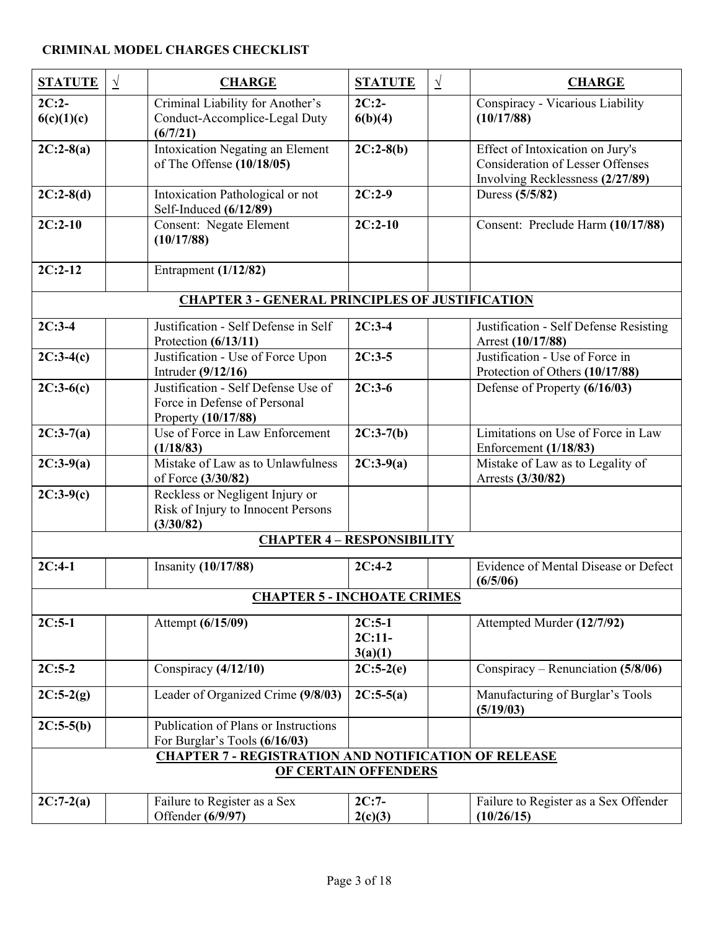| <b>STATUTE</b>        | $\sqrt{ }$ | <b>CHARGE</b>                                                                              | <b>STATUTE</b>                  | $\sqrt{ }$ | <b>CHARGE</b>                                                                                                   |
|-----------------------|------------|--------------------------------------------------------------------------------------------|---------------------------------|------------|-----------------------------------------------------------------------------------------------------------------|
| $2C:2-$<br>6(c)(1)(c) |            | Criminal Liability for Another's<br>Conduct-Accomplice-Legal Duty<br>(6/7/21)              | $2C:2-$<br>6(b)(4)              |            | Conspiracy - Vicarious Liability<br>(10/17/88)                                                                  |
| $2C:2-8(a)$           |            | <b>Intoxication Negating an Element</b><br>of The Offense (10/18/05)                       | $2C:2-8(b)$                     |            | Effect of Intoxication on Jury's<br><b>Consideration of Lesser Offenses</b><br>Involving Recklessness (2/27/89) |
| $2C:2-8(d)$           |            | Intoxication Pathological or not<br>Self-Induced $(6/12/89)$                               | $2C:2-9$                        |            | Duress (5/5/82)                                                                                                 |
| $2C:2-10$             |            | Consent: Negate Element<br>(10/17/88)                                                      | $2C:2-10$                       |            | Consent: Preclude Harm (10/17/88)                                                                               |
| $2C:2-12$             |            | Entrapment (1/12/82)                                                                       |                                 |            |                                                                                                                 |
|                       |            | <b>CHAPTER 3 - GENERAL PRINCIPLES OF JUSTIFICATION</b>                                     |                                 |            |                                                                                                                 |
| $2C:3-4$              |            | Justification - Self Defense in Self<br>Protection $(6/13/11)$                             | $2C:3-4$                        |            | Justification - Self Defense Resisting<br>Arrest (10/17/88)                                                     |
| $2C:3-4(c)$           |            | Justification - Use of Force Upon<br>Intruder (9/12/16)                                    | $2C:3-5$                        |            | Justification - Use of Force in<br>Protection of Others (10/17/88)                                              |
| $2C:3-6(c)$           |            | Justification - Self Defense Use of<br>Force in Defense of Personal<br>Property (10/17/88) | $2C:3-6$                        |            | Defense of Property (6/16/03)                                                                                   |
| $2C:3-7(a)$           |            | Use of Force in Law Enforcement<br>(1/18/83)                                               | $2C:3-7(b)$                     |            | Limitations on Use of Force in Law<br>Enforcement $(1/18/83)$                                                   |
| $2C:3-9(a)$           |            | Mistake of Law as to Unlawfulness<br>of Force (3/30/82)                                    | $2C:3-9(a)$                     |            | Mistake of Law as to Legality of<br>Arrests (3/30/82)                                                           |
| $2C:3-9(c)$           |            | Reckless or Negligent Injury or<br>Risk of Injury to Innocent Persons<br>(3/30/82)         |                                 |            |                                                                                                                 |
|                       |            | <b>CHAPTER 4 - RESPONSIBILITY</b>                                                          |                                 |            |                                                                                                                 |
| $2C:4-1$              |            | Insanity (10/17/88)                                                                        | $2C:4-2$                        |            | Evidence of Mental Disease or Defect<br>(6/5/06)                                                                |
|                       |            | <b>CHAPTER 5 - INCHOATE CRIMES</b>                                                         |                                 |            |                                                                                                                 |
| $2C:5-1$              |            | Attempt (6/15/09)                                                                          | $2C:5-1$<br>$2C:11-$<br>3(a)(1) |            | Attempted Murder (12/7/92)                                                                                      |
| $2C:5-2$              |            | Conspiracy $(4/12/10)$                                                                     | $2C:5-2(e)$                     |            | Conspiracy – Renunciation $(5/8/06)$                                                                            |
| $2C:5-2(g)$           |            | Leader of Organized Crime (9/8/03)                                                         | $2C:5-5(a)$                     |            | Manufacturing of Burglar's Tools<br>(5/19/03)                                                                   |
| $2C:5-5(b)$           |            | Publication of Plans or Instructions<br>For Burglar's Tools (6/16/03)                      |                                 |            |                                                                                                                 |
|                       |            | <b>CHAPTER 7 - REGISTRATION AND NOTIFICATION OF RELEASE</b>                                |                                 |            |                                                                                                                 |
|                       |            |                                                                                            | OF CERTAIN OFFENDERS            |            |                                                                                                                 |
| $2C:7-2(a)$           |            | Failure to Register as a Sex<br>Offender (6/9/97)                                          | $2C:7-$<br>2(c)(3)              |            | Failure to Register as a Sex Offender<br>(10/26/15)                                                             |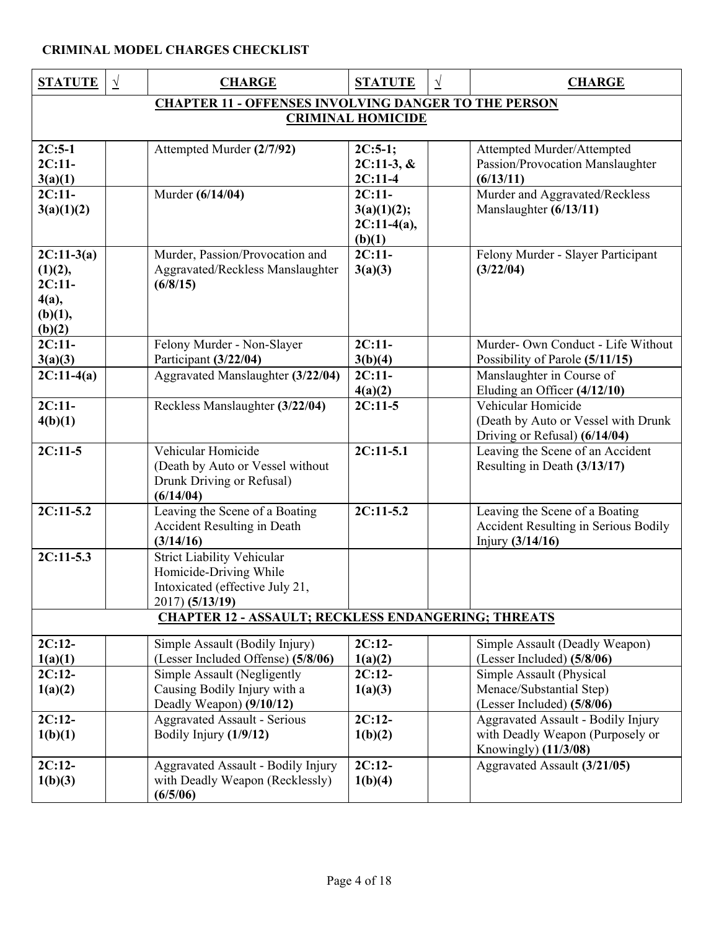| <b>STATUTE</b>           | $\sqrt{ }$ | <b>CHARGE</b>                                                         | <b>STATUTE</b>             | <u> 1</u> | <b>CHARGE</b>                                                  |  |  |
|--------------------------|------------|-----------------------------------------------------------------------|----------------------------|-----------|----------------------------------------------------------------|--|--|
|                          |            | <b>CHAPTER 11 - OFFENSES INVOLVING DANGER TO THE PERSON</b>           |                            |           |                                                                |  |  |
| <b>CRIMINAL HOMICIDE</b> |            |                                                                       |                            |           |                                                                |  |  |
| $2C:5-1$                 |            |                                                                       |                            |           |                                                                |  |  |
| $2C:11-$                 |            | Attempted Murder (2/7/92)                                             | $2C:5-1;$<br>$2C:11-3, \&$ |           | Attempted Murder/Attempted<br>Passion/Provocation Manslaughter |  |  |
| 3(a)(1)                  |            |                                                                       | $2C:11-4$                  |           | (6/13/11)                                                      |  |  |
| $2C:11-$                 |            | Murder (6/14/04)                                                      | $2C:11-$                   |           | Murder and Aggravated/Reckless                                 |  |  |
| 3(a)(1)(2)               |            |                                                                       | 3(a)(1)(2);                |           | Manslaughter (6/13/11)                                         |  |  |
|                          |            |                                                                       | $2C:11-4(a),$              |           |                                                                |  |  |
|                          |            |                                                                       | (b)(1)                     |           |                                                                |  |  |
| $2C:11-3(a)$             |            | Murder, Passion/Provocation and                                       | $2C:11-$                   |           | Felony Murder - Slayer Participant                             |  |  |
| (1)(2),                  |            | Aggravated/Reckless Manslaughter                                      | 3(a)(3)                    |           | (3/22/04)                                                      |  |  |
| $2C:11-$                 |            | (6/8/15)                                                              |                            |           |                                                                |  |  |
| 4(a),                    |            |                                                                       |                            |           |                                                                |  |  |
| (b)(1),<br>(b)(2)        |            |                                                                       |                            |           |                                                                |  |  |
| $2C:11-$                 |            | Felony Murder - Non-Slayer                                            | $2C:11-$                   |           | Murder- Own Conduct - Life Without                             |  |  |
| 3(a)(3)                  |            | Participant (3/22/04)                                                 | 3(b)(4)                    |           | Possibility of Parole (5/11/15)                                |  |  |
| $2C:11-4(a)$             |            | Aggravated Manslaughter (3/22/04)                                     | $2C:11-$                   |           | Manslaughter in Course of                                      |  |  |
|                          |            |                                                                       | 4(a)(2)                    |           | Eluding an Officer (4/12/10)                                   |  |  |
| $2C:11-$                 |            | Reckless Manslaughter (3/22/04)                                       | $2C:11-5$                  |           | Vehicular Homicide                                             |  |  |
| 4(b)(1)                  |            |                                                                       |                            |           | (Death by Auto or Vessel with Drunk                            |  |  |
|                          |            |                                                                       |                            |           | Driving or Refusal) (6/14/04)                                  |  |  |
| $2C:11-5$                |            | Vehicular Homicide                                                    | $2C:11-5.1$                |           | Leaving the Scene of an Accident                               |  |  |
|                          |            | (Death by Auto or Vessel without                                      |                            |           | Resulting in Death (3/13/17)                                   |  |  |
|                          |            | Drunk Driving or Refusal)<br>(6/14/04)                                |                            |           |                                                                |  |  |
| $2C:11-5.2$              |            | Leaving the Scene of a Boating                                        | $2C:11-5.2$                |           | Leaving the Scene of a Boating                                 |  |  |
|                          |            | <b>Accident Resulting in Death</b>                                    |                            |           | Accident Resulting in Serious Bodily                           |  |  |
|                          |            | (3/14/16)                                                             |                            |           | Injury $(3/14/16)$                                             |  |  |
| $2C:11-5.3$              |            | <b>Strict Liability Vehicular</b>                                     |                            |           |                                                                |  |  |
|                          |            | Homicide-Driving While                                                |                            |           |                                                                |  |  |
|                          |            | Intoxicated (effective July 21,                                       |                            |           |                                                                |  |  |
|                          |            | 2017) (5/13/19)                                                       |                            |           |                                                                |  |  |
|                          |            | <b>CHAPTER 12 - ASSAULT; RECKLESS ENDANGERING; THREATS</b>            |                            |           |                                                                |  |  |
| $2C:12-$                 |            | Simple Assault (Bodily Injury)                                        | $2C:12-$                   |           | Simple Assault (Deadly Weapon)                                 |  |  |
| 1(a)(1)                  |            | (Lesser Included Offense) (5/8/06)                                    | 1(a)(2)                    |           | (Lesser Included) (5/8/06)                                     |  |  |
| $2C:12-$                 |            | Simple Assault (Negligently                                           | $2C:12-$                   |           | Simple Assault (Physical                                       |  |  |
| 1(a)(2)                  |            | Causing Bodily Injury with a                                          | 1(a)(3)                    |           | Menace/Substantial Step)                                       |  |  |
|                          |            | Deadly Weapon) (9/10/12)                                              |                            |           | (Lesser Included) (5/8/06)                                     |  |  |
| $2C:12-$                 |            | <b>Aggravated Assault - Serious</b>                                   | $2C:12-$                   |           | Aggravated Assault - Bodily Injury                             |  |  |
| 1(b)(1)                  |            | Bodily Injury (1/9/12)                                                | 1(b)(2)                    |           | with Deadly Weapon (Purposely or                               |  |  |
|                          |            |                                                                       | $2C:12-$                   |           | Knowingly) $(11/3/08)$                                         |  |  |
| $2C:12-$<br>1(b)(3)      |            | Aggravated Assault - Bodily Injury<br>with Deadly Weapon (Recklessly) | 1(b)(4)                    |           | Aggravated Assault (3/21/05)                                   |  |  |
|                          |            | (6/5/06)                                                              |                            |           |                                                                |  |  |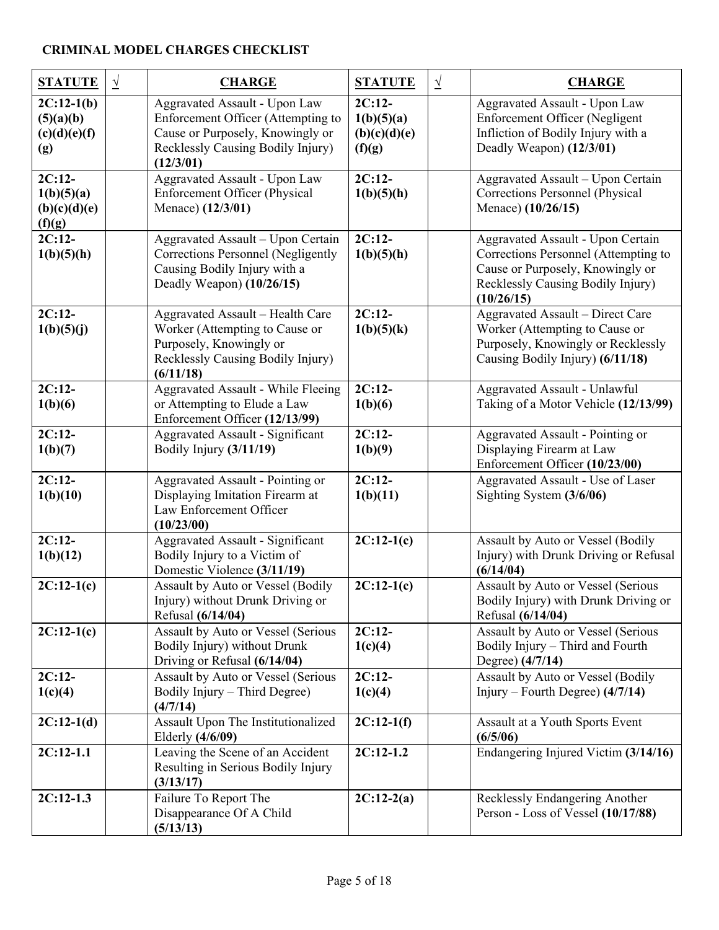| <b>STATUTE</b>                                   | $\sqrt{ }$ | <b>CHARGE</b>                                                                                                                                             | <b>STATUTE</b>                                   | $\sqrt{ }$ | <b>CHARGE</b>                                                                                                                                                    |
|--------------------------------------------------|------------|-----------------------------------------------------------------------------------------------------------------------------------------------------------|--------------------------------------------------|------------|------------------------------------------------------------------------------------------------------------------------------------------------------------------|
| $2C:12-1(b)$<br>(5)(a)(b)<br>(c)(d)(e)(f)<br>(g) |            | Aggravated Assault - Upon Law<br>Enforcement Officer (Attempting to<br>Cause or Purposely, Knowingly or<br>Recklessly Causing Bodily Injury)<br>(12/3/01) | $2C:12-$<br>1(b)(5)(a)<br>(b)(c)(d)(e)<br>(f)(g) |            | Aggravated Assault - Upon Law<br>Enforcement Officer (Negligent<br>Infliction of Bodily Injury with a<br>Deadly Weapon) (12/3/01)                                |
| $2C:12-$<br>1(b)(5)(a)<br>(b)(c)(d)(e)<br>(f)(g) |            | Aggravated Assault - Upon Law<br><b>Enforcement Officer (Physical</b><br>Menace) (12/3/01)                                                                | $2C:12-$<br>1(b)(5)(h)                           |            | Aggravated Assault - Upon Certain<br><b>Corrections Personnel (Physical</b><br>Menace) (10/26/15)                                                                |
| $2C:12-$<br>1(b)(5)(h)                           |            | Aggravated Assault - Upon Certain<br><b>Corrections Personnel (Negligently</b><br>Causing Bodily Injury with a<br>Deadly Weapon) $(10/26/15)$             | $2C:12-$<br>1(b)(5)(h)                           |            | Aggravated Assault - Upon Certain<br>Corrections Personnel (Attempting to<br>Cause or Purposely, Knowingly or<br>Recklessly Causing Bodily Injury)<br>(10/26/15) |
| $2C:12-$<br>1(b)(5)(j)                           |            | Aggravated Assault - Health Care<br>Worker (Attempting to Cause or<br>Purposely, Knowingly or<br>Recklessly Causing Bodily Injury)<br>(6/11/18)           | $2C:12-$<br>1(b)(5)(k)                           |            | Aggravated Assault - Direct Care<br>Worker (Attempting to Cause or<br>Purposely, Knowingly or Recklessly<br>Causing Bodily Injury) (6/11/18)                     |
| $2C:12-$<br>1(b)(6)                              |            | Aggravated Assault - While Fleeing<br>or Attempting to Elude a Law<br>Enforcement Officer (12/13/99)                                                      | $2C:12-$<br>1(b)(6)                              |            | Aggravated Assault - Unlawful<br>Taking of a Motor Vehicle (12/13/99)                                                                                            |
| $2C:12-$<br>1(b)(7)                              |            | Aggravated Assault - Significant<br>Bodily Injury (3/11/19)                                                                                               | $2C:12-$<br>1(b)(9)                              |            | Aggravated Assault - Pointing or<br>Displaying Firearm at Law<br>Enforcement Officer (10/23/00)                                                                  |
| $2C:12-$<br>1(b)(10)                             |            | Aggravated Assault - Pointing or<br>Displaying Imitation Firearm at<br>Law Enforcement Officer<br>(10/23/00)                                              | $2C:12-$<br>1(b)(11)                             |            | Aggravated Assault - Use of Laser<br>Sighting System (3/6/06)                                                                                                    |
| $2C:12-$<br>1(b)(12)                             |            | <b>Aggravated Assault - Significant</b><br>Bodily Injury to a Victim of<br>Domestic Violence (3/11/19)                                                    | $2C:12-1(c)$                                     |            | Assault by Auto or Vessel (Bodily<br>Injury) with Drunk Driving or Refusal<br>(6/14/04)                                                                          |
| $2C:12-1(c)$                                     |            | Assault by Auto or Vessel (Bodily<br>Injury) without Drunk Driving or<br>Refusal (6/14/04)                                                                | $2C:12-1(c)$                                     |            | Assault by Auto or Vessel (Serious<br>Bodily Injury) with Drunk Driving or<br>Refusal (6/14/04)                                                                  |
| $2C:12-1(c)$                                     |            | Assault by Auto or Vessel (Serious<br>Bodily Injury) without Drunk<br>Driving or Refusal (6/14/04)                                                        | $2C:12-$<br>1(c)(4)                              |            | Assault by Auto or Vessel (Serious<br>Bodily Injury - Third and Fourth<br>Degree) (4/7/14)                                                                       |
| $2C:12-$<br>1(c)(4)                              |            | Assault by Auto or Vessel (Serious<br>Bodily Injury – Third Degree)<br>(4/7/14)                                                                           | $2C:12-$<br>1(c)(4)                              |            | Assault by Auto or Vessel (Bodily<br>Injury – Fourth Degree) $(4/7/14)$                                                                                          |
| $2C:12-1(d)$                                     |            | Assault Upon The Institutionalized<br>Elderly (4/6/09)                                                                                                    | $2C:12-1(f)$                                     |            | Assault at a Youth Sports Event<br>(6/5/06)                                                                                                                      |
| $2C:12-1.1$                                      |            | Leaving the Scene of an Accident<br>Resulting in Serious Bodily Injury<br>(3/13/17)                                                                       | $2C:12-1.2$                                      |            | Endangering Injured Victim (3/14/16)                                                                                                                             |
| $2C:12-1.3$                                      |            | Failure To Report The<br>Disappearance Of A Child<br>(5/13/13)                                                                                            | $2C:12-2(a)$                                     |            | Recklessly Endangering Another<br>Person - Loss of Vessel (10/17/88)                                                                                             |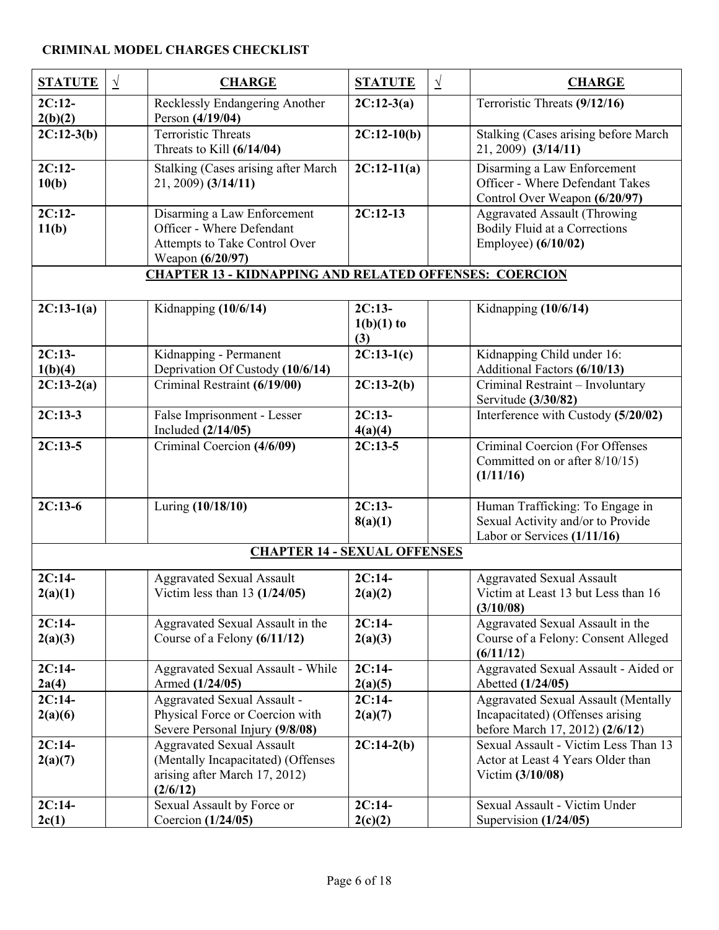| <b>STATUTE</b>      | $\sqrt{ }$ | <b>CHARGE</b>                                                                                                       | <b>STATUTE</b>                  | $\sqrt{ }$ | <b>CHARGE</b>                                                                                                     |
|---------------------|------------|---------------------------------------------------------------------------------------------------------------------|---------------------------------|------------|-------------------------------------------------------------------------------------------------------------------|
| $2C:12-$<br>2(b)(2) |            | Recklessly Endangering Another<br>Person (4/19/04)                                                                  | $2C:12-3(a)$                    |            | Terroristic Threats (9/12/16)                                                                                     |
| $2C:12-3(b)$        |            | <b>Terroristic Threats</b><br>Threats to Kill $(6/14/04)$                                                           | $2C:12-10(b)$                   |            | Stalking (Cases arising before March<br>21, 2009) (3/14/11)                                                       |
| $2C:12-$<br>10(b)   |            | Stalking (Cases arising after March<br>21, 2009) (3/14/11)                                                          | $2C:12-11(a)$                   |            | Disarming a Law Enforcement<br>Officer - Where Defendant Takes<br>Control Over Weapon (6/20/97)                   |
| $2C:12-$<br>11(b)   |            | Disarming a Law Enforcement<br>Officer - Where Defendant<br>Attempts to Take Control Over<br>Weapon (6/20/97)       | $2C:12-13$                      |            | <b>Aggravated Assault (Throwing</b><br><b>Bodily Fluid at a Corrections</b><br>Employee) (6/10/02)                |
|                     |            | <b>CHAPTER 13 - KIDNAPPING AND RELATED OFFENSES: COERCION</b>                                                       |                                 |            |                                                                                                                   |
| $2C:13-1(a)$        |            | Kidnapping (10/6/14)                                                                                                | $2C:13-$<br>$1(b)(1)$ to<br>(3) |            | Kidnapping (10/6/14)                                                                                              |
| $2C:13-$<br>1(b)(4) |            | Kidnapping - Permanent<br>Deprivation Of Custody (10/6/14)                                                          | $2C:13-1(c)$                    |            | Kidnapping Child under 16:<br>Additional Factors (6/10/13)                                                        |
| $2C:13-2(a)$        |            | Criminal Restraint (6/19/00)                                                                                        | $2C:13-2(b)$                    |            | Criminal Restraint - Involuntary<br>Servitude (3/30/82)                                                           |
| $2C:13-3$           |            | False Imprisonment - Lesser<br>Included $(2/14/05)$                                                                 | $2C:13-$<br>4(a)(4)             |            | Interference with Custody (5/20/02)                                                                               |
| $2C:13-5$           |            | Criminal Coercion (4/6/09)                                                                                          | $2C:13-5$                       |            | Criminal Coercion (For Offenses<br>Committed on or after 8/10/15)<br>(1/11/16)                                    |
| $2C:13-6$           |            | Luring (10/18/10)                                                                                                   | $2C:13-$<br>8(a)(1)             |            | Human Trafficking: To Engage in<br>Sexual Activity and/or to Provide<br>Labor or Services (1/11/16)               |
|                     |            | <b>CHAPTER 14 - SEXUAL OFFENSES</b>                                                                                 |                                 |            |                                                                                                                   |
| $2C:14-$<br>2(a)(1) |            | Aggravated Sexual Assault<br>Victim less than $13(1/24/05)$                                                         | $2C:14-$<br>2(a)(2)             |            | <b>Aggravated Sexual Assault</b><br>Victim at Least 13 but Less than 16<br>(3/10/08)                              |
| $2C:14-$<br>2(a)(3) |            | Aggravated Sexual Assault in the<br>Course of a Felony (6/11/12)                                                    | $2C:14-$<br>2(a)(3)             |            | Aggravated Sexual Assault in the<br>Course of a Felony: Consent Alleged<br>(6/11/12)                              |
| $2C:14-$<br>2a(4)   |            | Aggravated Sexual Assault - While<br>Armed (1/24/05)                                                                | $2C:14-$<br>2(a)(5)             |            | Aggravated Sexual Assault - Aided or<br>Abetted (1/24/05)                                                         |
| $2C:14-$<br>2(a)(6) |            | Aggravated Sexual Assault -<br>Physical Force or Coercion with<br>Severe Personal Injury (9/8/08)                   | $2C:14-$<br>2(a)(7)             |            | <b>Aggravated Sexual Assault (Mentally</b><br>Incapacitated) (Offenses arising<br>before March 17, 2012) (2/6/12) |
| $2C:14-$<br>2(a)(7) |            | <b>Aggravated Sexual Assault</b><br>(Mentally Incapacitated) (Offenses<br>arising after March 17, 2012)<br>(2/6/12) | $2C:14-2(b)$                    |            | Sexual Assault - Victim Less Than 13<br>Actor at Least 4 Years Older than<br>Victim $(3/10/08)$                   |
| $2C:14-$<br>2c(1)   |            | Sexual Assault by Force or<br>Coercion (1/24/05)                                                                    | $2C:14-$<br>2(c)(2)             |            | Sexual Assault - Victim Under<br>Supervision $(1/24/05)$                                                          |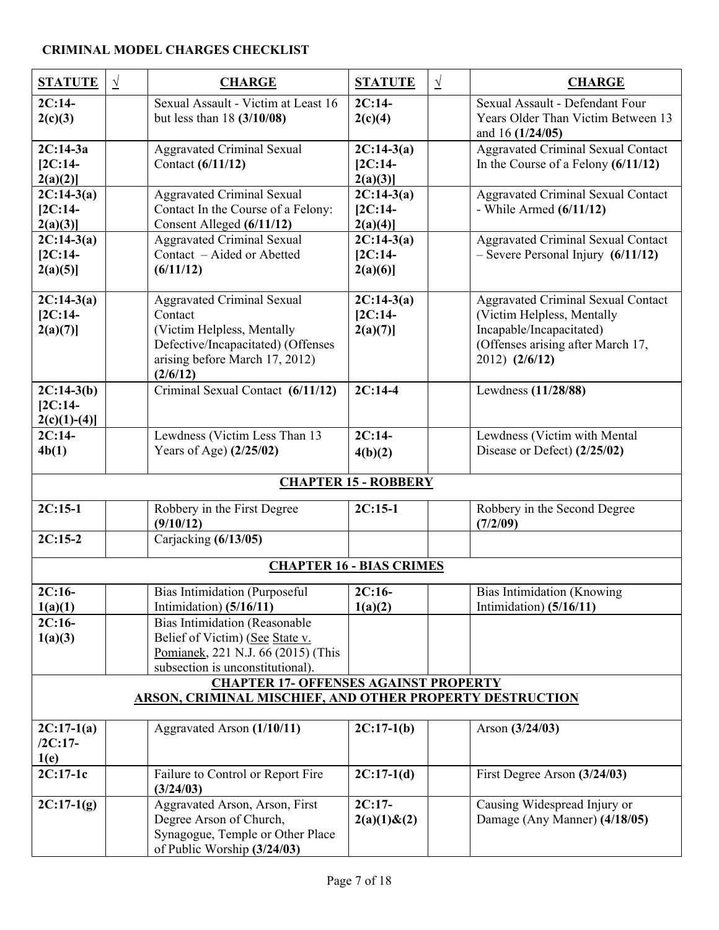| <b>STATUTE</b>                             | $\sqrt{ }$ | <b>CHARGE</b>                                                                                                                                                  | <b>STATUTE</b>                           | $\sqrt{ }$ | <b>CHARGE</b>                                                                                                                                              |
|--------------------------------------------|------------|----------------------------------------------------------------------------------------------------------------------------------------------------------------|------------------------------------------|------------|------------------------------------------------------------------------------------------------------------------------------------------------------------|
| $2C:14-$<br>2(c)(3)                        |            | Sexual Assault - Victim at Least 16<br>but less than 18 (3/10/08)                                                                                              | $2C:14-$<br>2(c)(4)                      |            | Sexual Assault - Defendant Four<br>Years Older Than Victim Between 13<br>and 16 (1/24/05)                                                                  |
| $2C:14-3a$<br>$[2C:14-$<br>2(a)(2)]        |            | <b>Aggravated Criminal Sexual</b><br>Contact (6/11/12)                                                                                                         | $2C:14-3(a)$<br>$[2C:14-$<br>$2(a)(3)$ ] |            | <b>Aggravated Criminal Sexual Contact</b><br>In the Course of a Felony $(6/11/12)$                                                                         |
| $2C:14-3(a)$<br>$[2C:14-$<br>$2(a)(3)$ ]   |            | <b>Aggravated Criminal Sexual</b><br>Contact In the Course of a Felony:<br>Consent Alleged (6/11/12)                                                           | $2C:14-3(a)$<br>$[2C:14-$<br>2(a)(4)     |            | <b>Aggravated Criminal Sexual Contact</b><br>- While Armed $(6/11/12)$                                                                                     |
| $2C:14-3(a)$<br>$[2C:14-$<br>2(a)(5)]      |            | Aggravated Criminal Sexual<br>Contact – Aided or Abetted<br>(6/11/12)                                                                                          | $2C:14-3(a)$<br>$[2C:14-$<br>2(a)(6)     |            | <b>Aggravated Criminal Sexual Contact</b><br>$-$ Severe Personal Injury (6/11/12)                                                                          |
| $2C:14-3(a)$<br>$[2C:14-$<br>2(a)(7)       |            | <b>Aggravated Criminal Sexual</b><br>Contact<br>(Victim Helpless, Mentally<br>Defective/Incapacitated) (Offenses<br>arising before March 17, 2012)<br>(2/6/12) | $2C:14-3(a)$<br>$[2C:14-$<br>2(a)(7)     |            | <b>Aggravated Criminal Sexual Contact</b><br>(Victim Helpless, Mentally<br>Incapable/Incapacitated)<br>(Offenses arising after March 17,<br>2012) (2/6/12) |
| $2C:14-3(b)$<br>$[2C:14-$<br>$2(c)(1)-(4)$ |            | Criminal Sexual Contact (6/11/12)                                                                                                                              | $2C:14-4$                                |            | Lewdness (11/28/88)                                                                                                                                        |
| $2C:14-$<br>4b(1)                          |            | Lewdness (Victim Less Than 13<br>Years of Age) (2/25/02)                                                                                                       | $2C:14-$<br>4(b)(2)                      |            | Lewdness (Victim with Mental<br>Disease or Defect) $(2/25/02)$                                                                                             |
|                                            |            |                                                                                                                                                                | <b>CHAPTER 15 - ROBBERY</b>              |            |                                                                                                                                                            |
| $2C:15-1$                                  |            | Robbery in the First Degree<br>(9/10/12)                                                                                                                       | $2C:15-1$                                |            | Robbery in the Second Degree<br>(7/2/09)                                                                                                                   |
| $2C:15-2$                                  |            | Carjacking (6/13/05)                                                                                                                                           |                                          |            |                                                                                                                                                            |
|                                            |            | <b>CHAPTER 16 - BIAS CRIMES</b>                                                                                                                                |                                          |            |                                                                                                                                                            |
| $2C:16-$<br>1(a)(1)                        |            | Bias Intimidation (Purposeful<br>Intimidation) $(5/16/11)$                                                                                                     | $2C:16-$<br>1(a)(2)                      |            | Bias Intimidation (Knowing<br>Intimidation) $(5/16/11)$                                                                                                    |
| $2C:16-$<br>1(a)(3)                        |            | Bias Intimidation (Reasonable<br>Belief of Victim) (See State v.<br>Pomianek, 221 N.J. 66 (2015) (This<br>subsection is unconstitutional).                     |                                          |            |                                                                                                                                                            |
|                                            |            | <b>CHAPTER 17- OFFENSES AGAINST PROPERTY</b><br><b>ARSON, CRIMINAL MISCHIEF, AND OTHER PROPERTY DESTRUCTION</b>                                                |                                          |            |                                                                                                                                                            |
| $2C:17-1(a)$<br>$/2C:17-$<br>1(e)          |            | Aggravated Arson (1/10/11)                                                                                                                                     | $2C:17-1(b)$                             |            | Arson (3/24/03)                                                                                                                                            |
| $2C:17-1c$                                 |            | Failure to Control or Report Fire<br>(3/24/03)                                                                                                                 | $2C:17-1(d)$                             |            | First Degree Arson (3/24/03)                                                                                                                               |
| $2C:17-1(g)$                               |            | Aggravated Arson, Arson, First<br>Degree Arson of Church,<br>Synagogue, Temple or Other Place<br>of Public Worship (3/24/03)                                   | $2C:17-$<br>$2(a)(1)$ & $(2)$            |            | Causing Widespread Injury or<br>Damage (Any Manner) (4/18/05)                                                                                              |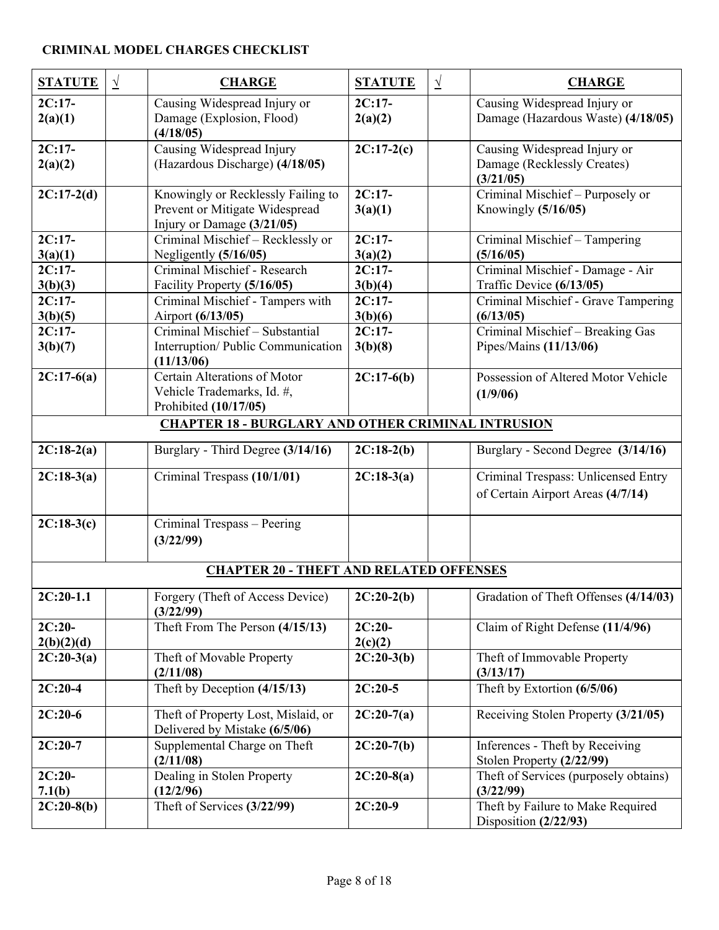| <b>STATUTE</b>                                            | $\sqrt{ }$ | <b>CHARGE</b>                                                                                      | <b>STATUTE</b>      | $\sqrt{ }$ | <b>CHARGE</b>                                                            |  |  |  |
|-----------------------------------------------------------|------------|----------------------------------------------------------------------------------------------------|---------------------|------------|--------------------------------------------------------------------------|--|--|--|
| $2C:17-$<br>2(a)(1)                                       |            | Causing Widespread Injury or<br>Damage (Explosion, Flood)<br>(4/18/05)                             | $2C:17-$<br>2(a)(2) |            | Causing Widespread Injury or<br>Damage (Hazardous Waste) (4/18/05)       |  |  |  |
| $2C:17-$<br>2(a)(2)                                       |            | Causing Widespread Injury<br>(Hazardous Discharge) (4/18/05)                                       | $2C:17-2(c)$        |            | Causing Widespread Injury or<br>Damage (Recklessly Creates)<br>(3/21/05) |  |  |  |
| $2C:17-2(d)$                                              |            | Knowingly or Recklessly Failing to<br>Prevent or Mitigate Widespread<br>Injury or Damage (3/21/05) | $2C:17-$<br>3(a)(1) |            | Criminal Mischief - Purposely or<br>Knowingly $(5/16/05)$                |  |  |  |
| $2C:17-$<br>3(a)(1)                                       |            | Criminal Mischief - Recklessly or<br>Negligently (5/16/05)                                         | $2C:17-$<br>3(a)(2) |            | Criminal Mischief - Tampering<br>(5/16/05)                               |  |  |  |
| $2C:17-$<br>3(b)(3)                                       |            | Criminal Mischief - Research<br>Facility Property (5/16/05)                                        | $2C:17-$<br>3(b)(4) |            | Criminal Mischief - Damage - Air<br>Traffic Device (6/13/05)             |  |  |  |
| $2C:17-$<br>3(b)(5)                                       |            | Criminal Mischief - Tampers with<br>Airport (6/13/05)                                              | $2C:17-$<br>3(b)(6) |            | Criminal Mischief - Grave Tampering<br>(6/13/05)                         |  |  |  |
| $2C:17-$<br>3(b)(7)                                       |            | Criminal Mischief - Substantial<br>Interruption/ Public Communication<br>(11/13/06)                | $2C:17-$<br>3(b)(8) |            | Criminal Mischief - Breaking Gas<br>Pipes/Mains (11/13/06)               |  |  |  |
| $2C:17-6(a)$                                              |            | Certain Alterations of Motor<br>Vehicle Trademarks, Id. #,<br>Prohibited (10/17/05)                | $2C:17-6(b)$        |            | Possession of Altered Motor Vehicle<br>(1/9/06)                          |  |  |  |
| <b>CHAPTER 18 - BURGLARY AND OTHER CRIMINAL INTRUSION</b> |            |                                                                                                    |                     |            |                                                                          |  |  |  |
| $2C:18-2(a)$                                              |            | Burglary - Third Degree (3/14/16)                                                                  | $2C:18-2(b)$        |            | Burglary - Second Degree (3/14/16)                                       |  |  |  |
| $2C:18-3(a)$                                              |            | Criminal Trespass (10/1/01)                                                                        | $2C:18-3(a)$        |            | Criminal Trespass: Unlicensed Entry<br>of Certain Airport Areas (4/7/14) |  |  |  |
| $2C:18-3(c)$                                              |            | Criminal Trespass - Peering<br>(3/22/99)                                                           |                     |            |                                                                          |  |  |  |
|                                                           |            | <b>CHAPTER 20 - THEFT AND RELATED OFFENSES</b>                                                     |                     |            |                                                                          |  |  |  |
| $2C:20-1.1$                                               |            | Forgery (Theft of Access Device) $2C:20-2(b)$<br>(3/22/99)                                         |                     |            | Gradation of Theft Offenses (4/14/03)                                    |  |  |  |
| $2C:20-$<br>2(b)(2)(d)                                    |            | Theft From The Person (4/15/13)                                                                    | $2C:20-$<br>2(c)(2) |            | Claim of Right Defense (11/4/96)                                         |  |  |  |
| $2C:20-3(a)$                                              |            | Theft of Movable Property<br>(2/11/08)                                                             | $2C:20-3(b)$        |            | Theft of Immovable Property<br>(3/13/17)                                 |  |  |  |
| $2C:20-4$                                                 |            | Theft by Deception $(4/15/13)$                                                                     | $2C:20-5$           |            | Theft by Extortion (6/5/06)                                              |  |  |  |
| $2C:20-6$                                                 |            | Theft of Property Lost, Mislaid, or<br>Delivered by Mistake (6/5/06)                               | $2C:20-7(a)$        |            | Receiving Stolen Property (3/21/05)                                      |  |  |  |
| $2C:20-7$                                                 |            | Supplemental Charge on Theft<br>(2/11/08)                                                          | $2C:20-7(b)$        |            | Inferences - Theft by Receiving<br>Stolen Property (2/22/99)             |  |  |  |
| $2C:20-$<br>7.1(b)                                        |            | Dealing in Stolen Property<br>(12/2/96)                                                            | $2C:20-8(a)$        |            | Theft of Services (purposely obtains)<br>(3/22/99)                       |  |  |  |
| $2C:20-8(b)$                                              |            | Theft of Services (3/22/99)                                                                        | $2C:20-9$           |            | Theft by Failure to Make Required<br>Disposition $(2/22/93)$             |  |  |  |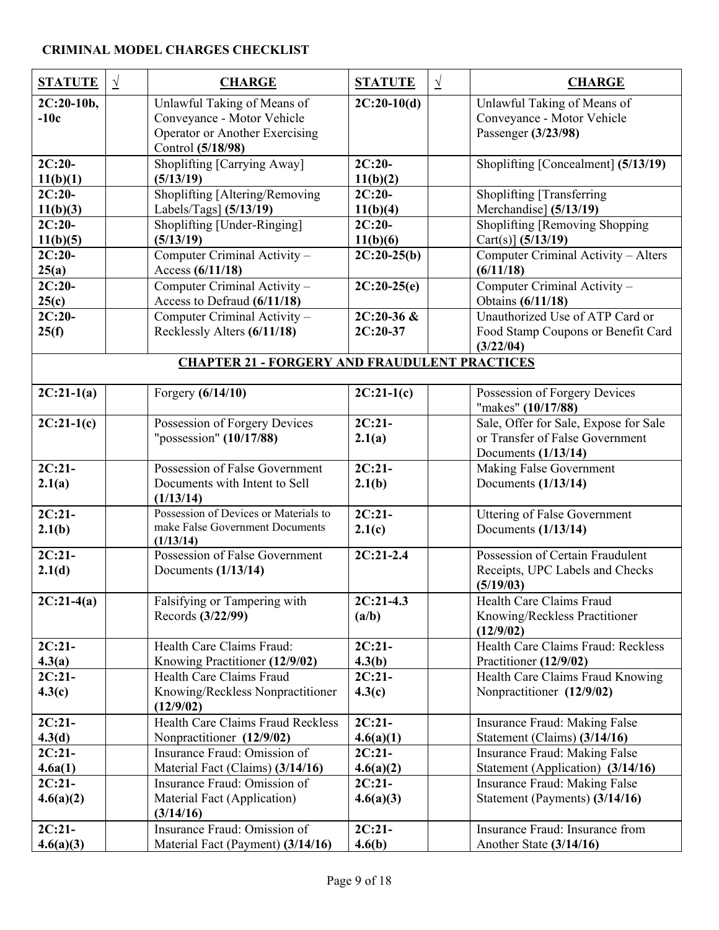| <b>STATUTE</b>       | $\sqrt{ }$ | <b>CHARGE</b>                                               | <b>STATUTE</b>     | $\sqrt{ }$ | <b>CHARGE</b>                                                |
|----------------------|------------|-------------------------------------------------------------|--------------------|------------|--------------------------------------------------------------|
| $2C:20-10b,$         |            | Unlawful Taking of Means of                                 | $2C:20-10(d)$      |            | Unlawful Taking of Means of                                  |
| $-10c$               |            | Conveyance - Motor Vehicle                                  |                    |            | Conveyance - Motor Vehicle                                   |
|                      |            | Operator or Another Exercising                              |                    |            | Passenger (3/23/98)                                          |
|                      |            | Control (5/18/98)                                           |                    |            |                                                              |
| $2C:20-$             |            | Shoplifting [Carrying Away]                                 | $2C:20-$           |            | Shoplifting [Concealment] (5/13/19)                          |
| 11(b)(1)             |            | (5/13/19)                                                   | 11(b)(2)           |            |                                                              |
| $2C:20-$             |            | Shoplifting [Altering/Removing                              | $2C:20-$           |            | Shoplifting [Transferring]                                   |
| 11(b)(3)             |            | Labels/Tags] (5/13/19)                                      | 11(b)(4)           |            | Merchandise] (5/13/19)                                       |
| $2C:20-$             |            | Shoplifting [Under-Ringing]                                 | $2C:20-$           |            | Shoplifting [Removing Shopping                               |
| 11(b)(5)<br>$2C:20-$ |            | (5/13/19)<br>Computer Criminal Activity -                   | 11(b)(6)           |            | $Cart(s)$ ] (5/13/19)<br>Computer Criminal Activity - Alters |
| 25(a)                |            | Access (6/11/18)                                            | $2C:20-25(b)$      |            | (6/11/18)                                                    |
| $2C:20-$             |            | Computer Criminal Activity -                                | $2C:20-25(e)$      |            | Computer Criminal Activity -                                 |
| 25(c)                |            | Access to Defraud (6/11/18)                                 |                    |            | Obtains (6/11/18)                                            |
| $2C:20-$             |            | Computer Criminal Activity -                                | $2C:20-36$ &       |            | Unauthorized Use of ATP Card or                              |
| 25(f)                |            | Recklessly Alters (6/11/18)                                 | $2C:20-37$         |            | Food Stamp Coupons or Benefit Card                           |
|                      |            |                                                             |                    |            | (3/22/04)                                                    |
|                      |            | <b>CHAPTER 21 - FORGERY AND FRAUDULENT PRACTICES</b>        |                    |            |                                                              |
| $2C:21-1(a)$         |            | Forgery (6/14/10)                                           | $2C:21-1(c)$       |            | Possession of Forgery Devices                                |
|                      |            |                                                             |                    |            | "makes" (10/17/88)                                           |
| $2C:21-1(c)$         |            | Possession of Forgery Devices                               | $2C:21-$           |            | Sale, Offer for Sale, Expose for Sale                        |
|                      |            | "possession" (10/17/88)                                     | 2.1(a)             |            | or Transfer of False Government                              |
|                      |            |                                                             |                    |            | Documents $(1/13/14)$                                        |
| $2C:21-$             |            | Possession of False Government                              | $2C:21-$           |            | <b>Making False Government</b>                               |
| 2.1(a)               |            | Documents with Intent to Sell                               | 2.1(b)             |            | Documents $(1/13/14)$                                        |
|                      |            | (1/13/14)                                                   |                    |            |                                                              |
| $2C:21-$             |            | Possession of Devices or Materials to                       | $2C:21-$           |            | Uttering of False Government                                 |
| 2.1(b)               |            | make False Government Documents                             | 2.1(c)             |            | Documents $(1/13/14)$                                        |
| $2C:21-$             |            | (1/13/14)<br>Possession of False Government                 | $2C:21-2.4$        |            | Possession of Certain Fraudulent                             |
| 2.1(d)               |            | Documents $(1/13/14)$                                       |                    |            | Receipts, UPC Labels and Checks                              |
|                      |            |                                                             |                    |            | (5/19/03)                                                    |
| $2C:21-4(a)$         |            | Falsifying or Tampering with                                | $2C:21-4.3$        |            | Health Care Claims Fraud                                     |
|                      |            | Records (3/22/99)                                           | (a/b)              |            | Knowing/Reckless Practitioner                                |
|                      |            |                                                             |                    |            | (12/9/02)                                                    |
| $2C:21-$<br>4.3(a)   |            | Health Care Claims Fraud:<br>Knowing Practitioner (12/9/02) | $2C:21-$           |            | Health Care Claims Fraud: Reckless<br>Practitioner (12/9/02) |
| $2C:21-$             |            | Health Care Claims Fraud                                    | 4.3(b)<br>$2C:21-$ |            | Health Care Claims Fraud Knowing                             |
| 4.3(c)               |            | Knowing/Reckless Nonpractitioner                            | 4.3(c)             |            | Nonpractitioner (12/9/02)                                    |
|                      |            | (12/9/02)                                                   |                    |            |                                                              |
| $2C:21-$             |            | Health Care Claims Fraud Reckless                           | $2C:21-$           |            | Insurance Fraud: Making False                                |
| 4.3(d)               |            | Nonpractitioner (12/9/02)                                   | 4.6(a)(1)          |            | Statement (Claims) (3/14/16)                                 |
| $2C:21-$             |            | Insurance Fraud: Omission of                                | $2C:21-$           |            | Insurance Fraud: Making False                                |
| 4.6a(1)              |            | Material Fact (Claims) (3/14/16)                            | 4.6(a)(2)          |            | Statement (Application) (3/14/16)                            |
| $2C:21-$             |            | Insurance Fraud: Omission of                                | $2C:21-$           |            | Insurance Fraud: Making False                                |
| 4.6(a)(2)            |            | Material Fact (Application)<br>(3/14/16)                    | 4.6(a)(3)          |            | Statement (Payments) (3/14/16)                               |
| $2C:21-$             |            | Insurance Fraud: Omission of                                | $2C:21-$           |            | Insurance Fraud: Insurance from                              |
| 4.6(a)(3)            |            | Material Fact (Payment) (3/14/16)                           | 4.6(b)             |            | Another State (3/14/16)                                      |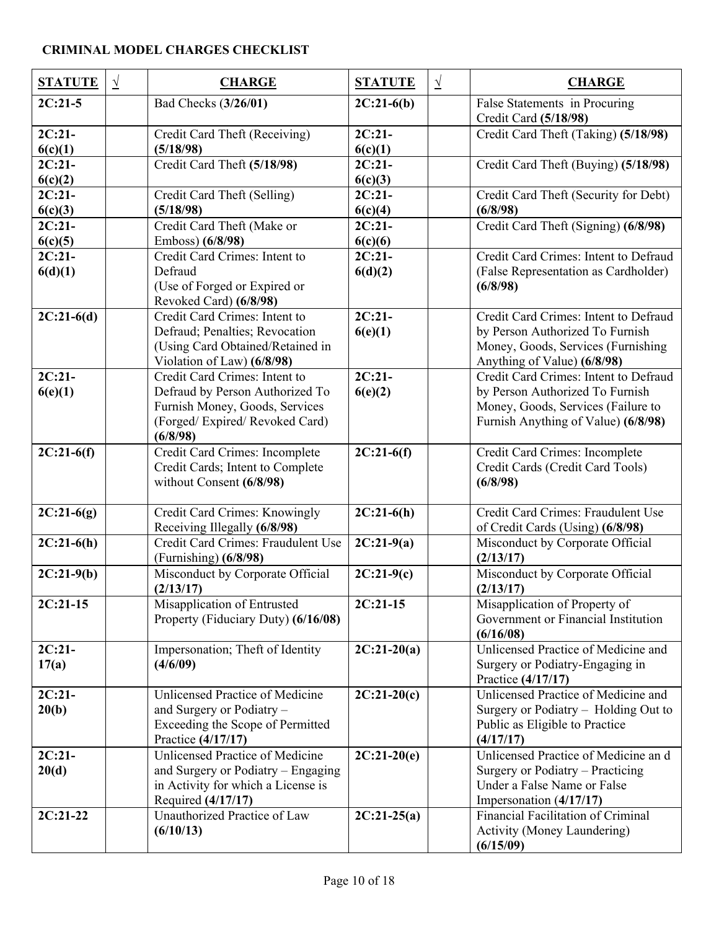| <b>STATUTE</b>      | $\sqrt{ }$ | <b>CHARGE</b>                                                                                                                                   | <b>STATUTE</b>      | $\sqrt{ }$ | <b>CHARGE</b>                                                                                                                                         |
|---------------------|------------|-------------------------------------------------------------------------------------------------------------------------------------------------|---------------------|------------|-------------------------------------------------------------------------------------------------------------------------------------------------------|
| $2C:21-5$           |            | Bad Checks (3/26/01)                                                                                                                            | $2C:21-6(b)$        |            | False Statements in Procuring<br>Credit Card (5/18/98)                                                                                                |
| $2C:21-$<br>6(c)(1) |            | Credit Card Theft (Receiving)<br>(5/18/98)                                                                                                      | $2C:21-$<br>6(c)(1) |            | Credit Card Theft (Taking) (5/18/98)                                                                                                                  |
| $2C:21-$<br>6(c)(2) |            | Credit Card Theft (5/18/98)                                                                                                                     | $2C:21-$<br>6(c)(3) |            | Credit Card Theft (Buying) (5/18/98)                                                                                                                  |
| $2C:21-$<br>6(c)(3) |            | Credit Card Theft (Selling)<br>(5/18/98)                                                                                                        | $2C:21-$<br>6(c)(4) |            | Credit Card Theft (Security for Debt)<br>(6/8/98)                                                                                                     |
| $2C:21-$<br>6(c)(5) |            | Credit Card Theft (Make or<br>Emboss) (6/8/98)                                                                                                  | $2C:21-$<br>6(c)(6) |            | Credit Card Theft (Signing) (6/8/98)                                                                                                                  |
| $2C:21-$<br>6(d)(1) |            | Credit Card Crimes: Intent to<br>Defraud<br>(Use of Forged or Expired or<br>Revoked Card) (6/8/98)                                              | $2C:21-$<br>6(d)(2) |            | Credit Card Crimes: Intent to Defraud<br>(False Representation as Cardholder)<br>(6/8/98)                                                             |
| $2C:21-6(d)$        |            | Credit Card Crimes: Intent to<br>Defraud; Penalties; Revocation<br>(Using Card Obtained/Retained in<br>Violation of Law) (6/8/98)               | $2C:21-$<br>6(e)(1) |            | Credit Card Crimes: Intent to Defraud<br>by Person Authorized To Furnish<br>Money, Goods, Services (Furnishing<br>Anything of Value) (6/8/98)         |
| $2C:21-$<br>6(e)(1) |            | Credit Card Crimes: Intent to<br>Defraud by Person Authorized To<br>Furnish Money, Goods, Services<br>(Forged/Expired/Revoked Card)<br>(6/8/98) | $2C:21-$<br>6(e)(2) |            | Credit Card Crimes: Intent to Defraud<br>by Person Authorized To Furnish<br>Money, Goods, Services (Failure to<br>Furnish Anything of Value) (6/8/98) |
| $2C:21-6(f)$        |            | Credit Card Crimes: Incomplete<br>Credit Cards; Intent to Complete<br>without Consent (6/8/98)                                                  | $2C:21-6(f)$        |            | Credit Card Crimes: Incomplete<br>Credit Cards (Credit Card Tools)<br>(6/8/98)                                                                        |
| $2C:21-6(g)$        |            | Credit Card Crimes: Knowingly<br>Receiving Illegally (6/8/98)                                                                                   | $2C:21-6(h)$        |            | Credit Card Crimes: Fraudulent Use<br>of Credit Cards (Using) (6/8/98)                                                                                |
| $2C:21-6(h)$        |            | Credit Card Crimes: Fraudulent Use<br>(Furnishing) (6/8/98)                                                                                     | $2C:21-9(a)$        |            | Misconduct by Corporate Official<br>(2/13/17)                                                                                                         |
| $2C:21-9(b)$        |            | Misconduct by Corporate Official<br>(2/13/17)                                                                                                   | $2C:21-9(c)$        |            | Misconduct by Corporate Official<br>(2/13/17)                                                                                                         |
| $2C:21-15$          |            | Misapplication of Entrusted<br>Property (Fiduciary Duty) (6/16/08)                                                                              | $2C:21-15$          |            | Misapplication of Property of<br>Government or Financial Institution<br>(6/16/08)                                                                     |
| $2C:21-$<br>17(a)   |            | Impersonation; Theft of Identity<br>(4/6/09)                                                                                                    | $2C:21-20(a)$       |            | Unlicensed Practice of Medicine and<br>Surgery or Podiatry-Engaging in<br>Practice (4/17/17)                                                          |
| $2C:21-$<br>20(b)   |            | Unlicensed Practice of Medicine<br>and Surgery or Podiatry -<br>Exceeding the Scope of Permitted<br>Practice (4/17/17)                          | $2C:21-20(c)$       |            | Unlicensed Practice of Medicine and<br>Surgery or Podiatry - Holding Out to<br>Public as Eligible to Practice<br>(4/17/17)                            |
| $2C:21-$<br>20(d)   |            | Unlicensed Practice of Medicine<br>and Surgery or Podiatry - Engaging<br>in Activity for which a License is<br>Required (4/17/17)               | $2C:21-20(e)$       |            | Unlicensed Practice of Medicine an d<br>Surgery or Podiatry - Practicing<br>Under a False Name or False<br>Impersonation $(4/17/17)$                  |
| $2C:21-22$          |            | Unauthorized Practice of Law<br>(6/10/13)                                                                                                       | $2C:21-25(a)$       |            | Financial Facilitation of Criminal<br>Activity (Money Laundering)<br>(6/15/09)                                                                        |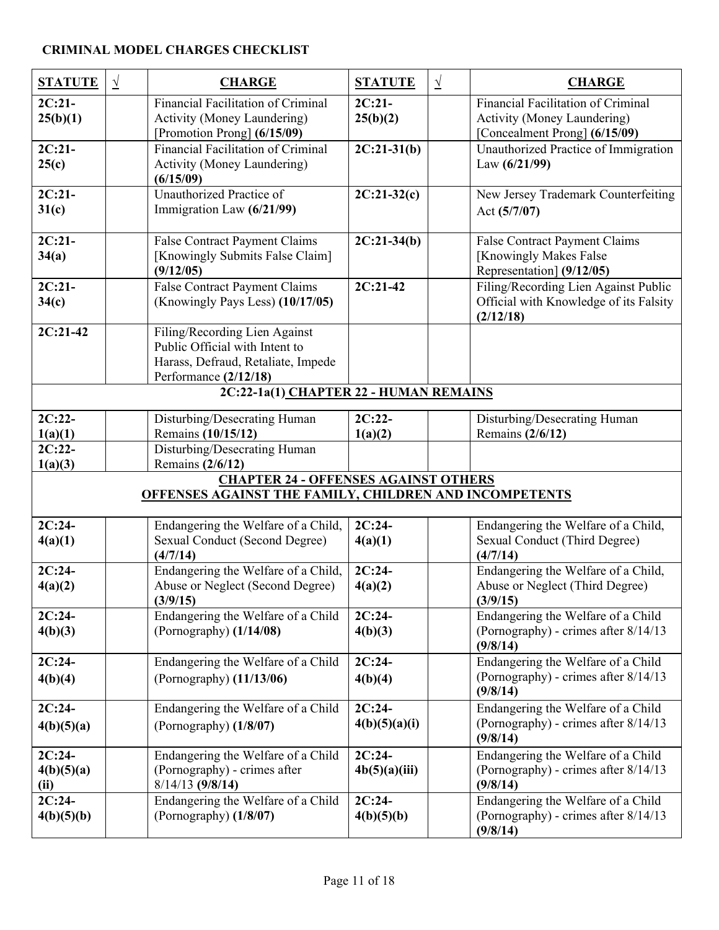| <b>STATUTE</b>                 | $\sqrt{ }$ | <b>CHARGE</b>                                                                                                                  | <b>STATUTE</b>            | $\sqrt{ }$ | <b>CHARGE</b>                                                                                      |
|--------------------------------|------------|--------------------------------------------------------------------------------------------------------------------------------|---------------------------|------------|----------------------------------------------------------------------------------------------------|
| $2C:21-$<br>25(b)(1)           |            | Financial Facilitation of Criminal<br>Activity (Money Laundering)<br>[Promotion Prong] (6/15/09)                               | $2C:21-$<br>25(b)(2)      |            | Financial Facilitation of Criminal<br>Activity (Money Laundering)<br>[Concealment Prong] (6/15/09) |
| $2C:21-$<br>25(c)              |            | Financial Facilitation of Criminal<br>Activity (Money Laundering)<br>(6/15/09)                                                 | $2C:21-31(b)$             |            | Unauthorized Practice of Immigration<br>Law (6/21/99)                                              |
| $2C:21-$<br>31(c)              |            | Unauthorized Practice of<br>Immigration Law (6/21/99)                                                                          | $2C:21-32(c)$             |            | New Jersey Trademark Counterfeiting<br>Act (5/7/07)                                                |
| $2C:21-$<br>34(a)              |            | False Contract Payment Claims<br>[Knowingly Submits False Claim]<br>(9/12/05)                                                  | $2C:21-34(b)$             |            | <b>False Contract Payment Claims</b><br>[Knowingly Makes False<br>Representation] (9/12/05)        |
| $2C:21-$<br>34(c)              |            | <b>False Contract Payment Claims</b><br>(Knowingly Pays Less) (10/17/05)                                                       | $2C:21-42$                |            | Filing/Recording Lien Against Public<br>Official with Knowledge of its Falsity<br>(2/12/18)        |
| $2C:21-42$                     |            | Filing/Recording Lien Against<br>Public Official with Intent to<br>Harass, Defraud, Retaliate, Impede<br>Performance (2/12/18) |                           |            |                                                                                                    |
|                                |            | 2C:22-1a(1) CHAPTER 22 - HUMAN REMAINS                                                                                         |                           |            |                                                                                                    |
| $2C:22-$<br>1(a)(1)            |            | Disturbing/Desecrating Human<br>Remains (10/15/12)                                                                             | $2C:22-$<br>1(a)(2)       |            | Disturbing/Desecrating Human<br>Remains (2/6/12)                                                   |
| $2C:22-$<br>1(a)(3)            |            | Disturbing/Desecrating Human<br>Remains (2/6/12)                                                                               |                           |            |                                                                                                    |
|                                |            | <b>CHAPTER 24 - OFFENSES AGAINST OTHERS</b><br>OFFENSES AGAINST THE FAMILY, CHILDREN AND INCOMPETENTS                          |                           |            |                                                                                                    |
| $2C:24-$<br>4(a)(1)            |            | Endangering the Welfare of a Child,<br><b>Sexual Conduct (Second Degree)</b><br>(4/7/14)                                       | $2C:24-$<br>4(a)(1)       |            | Endangering the Welfare of a Child,<br>Sexual Conduct (Third Degree)<br>(4/7/14)                   |
| $2C:24-$<br>4(a)(2)            |            | Endangering the Welfare of a Child,<br>Abuse or Neglect (Second Degree)<br>(3/9/15)                                            | $2C:24-$<br>4(a)(2)       |            | Endangering the Welfare of a Child,<br>Abuse or Neglect (Third Degree)<br>(3/9/15)                 |
| $2C:24-$<br>4(b)(3)            |            | Endangering the Welfare of a Child<br>(Pornography) $(1/14/08)$                                                                | $2C:24-$<br>4(b)(3)       |            | Endangering the Welfare of a Child<br>(Pornography) - crimes after 8/14/13<br>(9/8/14)             |
| $2C:24-$<br>4(b)(4)            |            | Endangering the Welfare of a Child<br>(Pornography) (11/13/06)                                                                 | $2C:24-$<br>4(b)(4)       |            | Endangering the Welfare of a Child<br>(Pornography) - crimes after 8/14/13<br>(9/8/14)             |
| $2C:24-$<br>4(b)(5)(a)         |            | Endangering the Welfare of a Child<br>(Pornography) $(1/8/07)$                                                                 | $2C:24-$<br>4(b)(5)(a)(i) |            | Endangering the Welfare of a Child<br>(Pornography) - crimes after 8/14/13<br>(9/8/14)             |
| $2C:24-$<br>4(b)(5)(a)<br>(ii) |            | Endangering the Welfare of a Child<br>(Pornography) - crimes after<br>$8/14/13$ (9/8/14)                                       | $2C:24-$<br>4b(5)(a)(iii) |            | Endangering the Welfare of a Child<br>(Pornography) - crimes after 8/14/13<br>(9/8/14)             |
| $2C:24-$<br>4(b)(5)(b)         |            | Endangering the Welfare of a Child<br>(Pornography) (1/8/07)                                                                   | $2C:24-$<br>4(b)(5)(b)    |            | Endangering the Welfare of a Child<br>(Pornography) - crimes after 8/14/13<br>(9/8/14)             |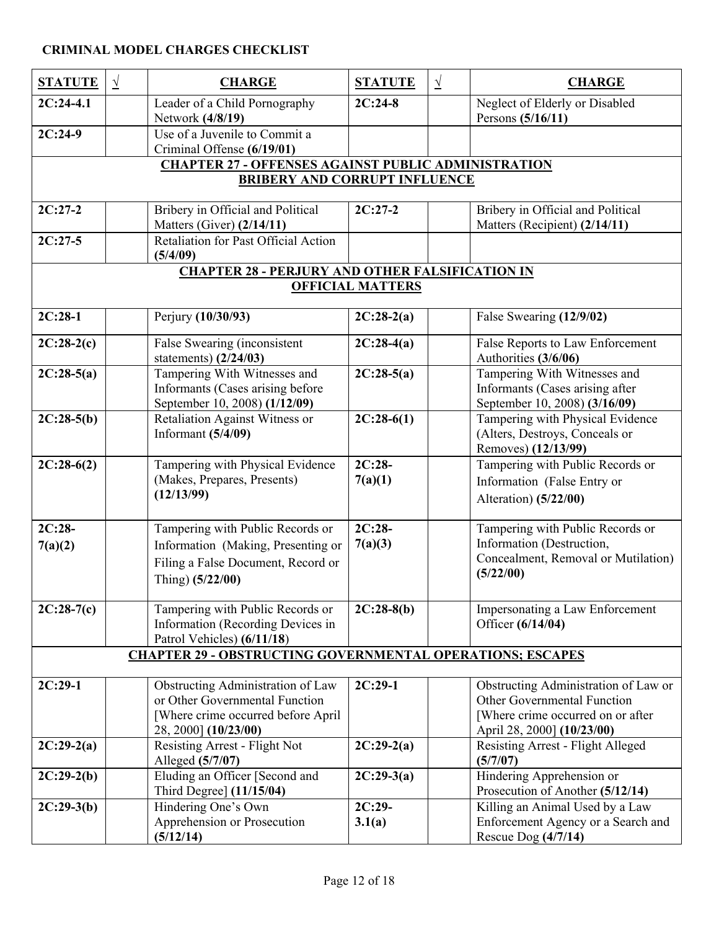| <b>STATUTE</b> | $\sqrt{ }$ | <b>CHARGE</b>                                                    | <b>STATUTE</b>          | $\sqrt{ }$ | <b>CHARGE</b>                                                      |
|----------------|------------|------------------------------------------------------------------|-------------------------|------------|--------------------------------------------------------------------|
| $2C:24-4.1$    |            | Leader of a Child Pornography<br>Network (4/8/19)                | $2C:24-8$               |            | Neglect of Elderly or Disabled<br>Persons (5/16/11)                |
| $2C:24-9$      |            | Use of a Juvenile to Commit a<br>Criminal Offense (6/19/01)      |                         |            |                                                                    |
|                |            | <b>CHAPTER 27 - OFFENSES AGAINST PUBLIC ADMINISTRATION</b>       |                         |            |                                                                    |
|                |            | <b>BRIBERY AND CORRUPT INFLUENCE</b>                             |                         |            |                                                                    |
| $2C:27-2$      |            |                                                                  | $2C:27-2$               |            |                                                                    |
|                |            | Bribery in Official and Political<br>Matters (Giver) (2/14/11)   |                         |            | Bribery in Official and Political<br>Matters (Recipient) (2/14/11) |
| $2C:27-5$      |            | Retaliation for Past Official Action<br>(5/4/09)                 |                         |            |                                                                    |
|                |            | <b>CHAPTER 28 - PERJURY AND OTHER FALSIFICATION IN</b>           |                         |            |                                                                    |
|                |            |                                                                  | <b>OFFICIAL MATTERS</b> |            |                                                                    |
| $2C:28-1$      |            | Perjury (10/30/93)                                               | $2C:28-2(a)$            |            | False Swearing (12/9/02)                                           |
| $2C:28-2(c)$   |            | False Swearing (inconsistent<br>statements) $(2/24/03)$          | $2C:28-4(a)$            |            | False Reports to Law Enforcement<br>Authorities (3/6/06)           |
| $2C:28-5(a)$   |            | Tampering With Witnesses and                                     | $2C:28-5(a)$            |            | Tampering With Witnesses and                                       |
|                |            | Informants (Cases arising before                                 |                         |            | Informants (Cases arising after                                    |
|                |            | September 10, 2008) (1/12/09)                                    |                         |            | September 10, 2008) (3/16/09)                                      |
| $2C:28-5(b)$   |            | Retaliation Against Witness or<br>Informant $(5/4/09)$           | $2C:28-6(1)$            |            | Tampering with Physical Evidence<br>(Alters, Destroys, Conceals or |
|                |            |                                                                  |                         |            | Removes) (12/13/99)                                                |
| $2C:28-6(2)$   |            | Tampering with Physical Evidence                                 | $2C:28-$                |            | Tampering with Public Records or                                   |
|                |            | (Makes, Prepares, Presents)                                      | 7(a)(1)                 |            | Information (False Entry or                                        |
|                |            | (12/13/99)                                                       |                         |            | Alteration) (5/22/00)                                              |
| $2C:28-$       |            | Tampering with Public Records or                                 | $2C:28-$                |            | Tampering with Public Records or                                   |
| 7(a)(2)        |            | Information (Making, Presenting or                               | 7(a)(3)                 |            | Information (Destruction,                                          |
|                |            | Filing a False Document, Record or                               |                         |            | Concealment, Removal or Mutilation)                                |
|                |            | Thing) (5/22/00)                                                 |                         |            | (5/22/00)                                                          |
|                |            |                                                                  |                         |            |                                                                    |
| $2C:28-7(c)$   |            | Tampering with Public Records or                                 | $2C:28-8(b)$            |            | Impersonating a Law Enforcement                                    |
|                |            | Information (Recording Devices in<br>Patrol Vehicles) (6/11/18)  |                         |            | Officer (6/14/04)                                                  |
|                |            | <b>CHAPTER 29 - OBSTRUCTING GOVERNMENTAL OPERATIONS; ESCAPES</b> |                         |            |                                                                    |
|                |            |                                                                  |                         |            |                                                                    |
| $2C:29-1$      |            | Obstructing Administration of Law                                | $2C:29-1$               |            | Obstructing Administration of Law or                               |
|                |            | or Other Governmental Function                                   |                         |            | Other Governmental Function                                        |
|                |            | [Where crime occurred before April                               |                         |            | [Where crime occurred on or after                                  |
| $2C:29-2(a)$   |            | 28, 2000] (10/23/00)<br>Resisting Arrest - Flight Not            | $2C:29-2(a)$            |            | April 28, 2000] (10/23/00)<br>Resisting Arrest - Flight Alleged    |
|                |            | Alleged (5/7/07)                                                 |                         |            | (5/7/07)                                                           |
| $2C:29-2(b)$   |            | Eluding an Officer [Second and                                   | $2C:29-3(a)$            |            | Hindering Apprehension or                                          |
|                |            | Third Degree] (11/15/04)                                         |                         |            | Prosecution of Another (5/12/14)                                   |
| $2C:29-3(b)$   |            | Hindering One's Own                                              | $2C:29-$                |            | Killing an Animal Used by a Law                                    |
|                |            | Apprehension or Prosecution                                      | 3.1(a)                  |            | Enforcement Agency or a Search and                                 |
|                |            | (5/12/14)                                                        |                         |            | Rescue Dog (4/7/14)                                                |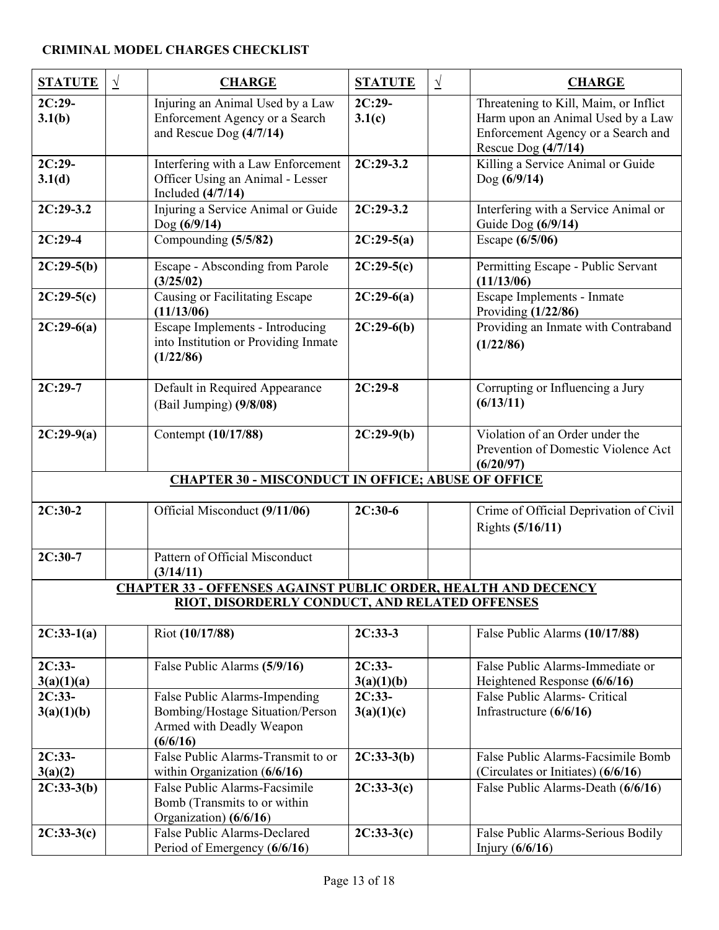| <b>STATUTE</b>                                                         | $\sqrt{ }$ | <b>CHARGE</b>                                                          | <b>STATUTE</b> | $\sqrt{ }$ | <b>CHARGE</b>                                     |  |  |
|------------------------------------------------------------------------|------------|------------------------------------------------------------------------|----------------|------------|---------------------------------------------------|--|--|
| $2C:29-$                                                               |            | Injuring an Animal Used by a Law                                       | $2C:29-$       |            | Threatening to Kill, Maim, or Inflict             |  |  |
| 3.1(b)                                                                 |            | Enforcement Agency or a Search                                         | 3.1(c)         |            | Harm upon an Animal Used by a Law                 |  |  |
|                                                                        |            | and Rescue Dog (4/7/14)                                                |                |            | Enforcement Agency or a Search and                |  |  |
|                                                                        |            |                                                                        |                |            | Rescue Dog (4/7/14)                               |  |  |
| $2C:29-$<br>3.1(d)                                                     |            | Interfering with a Law Enforcement<br>Officer Using an Animal - Lesser | $2C:29-3.2$    |            | Killing a Service Animal or Guide<br>Dog (6/9/14) |  |  |
|                                                                        |            | Included $(4/7/14)$                                                    |                |            |                                                   |  |  |
| $2C:29-3.2$                                                            |            | Injuring a Service Animal or Guide                                     | $2C:29-3.2$    |            | Interfering with a Service Animal or              |  |  |
|                                                                        |            | Dog (6/9/14)                                                           |                |            | Guide Dog (6/9/14)                                |  |  |
| $2C:29-4$                                                              |            | Compounding (5/5/82)                                                   | $2C:29-5(a)$   |            | Escape (6/5/06)                                   |  |  |
| $2C:29-5(b)$                                                           |            | Escape - Absconding from Parole                                        | $2C:29-5(c)$   |            | Permitting Escape - Public Servant                |  |  |
| $2C:29-5(c)$                                                           |            | (3/25/02)<br>Causing or Facilitating Escape                            | $2C:29-6(a)$   |            | (11/13/06)<br>Escape Implements - Inmate          |  |  |
|                                                                        |            | (11/13/06)                                                             |                |            | Providing $(1/22/86)$                             |  |  |
| $2C:29-6(a)$                                                           |            | <b>Escape Implements - Introducing</b>                                 | $2C:29-6(b)$   |            | Providing an Inmate with Contraband               |  |  |
|                                                                        |            | into Institution or Providing Inmate                                   |                |            | (1/22/86)                                         |  |  |
|                                                                        |            | (1/22/86)                                                              |                |            |                                                   |  |  |
| $2C:29-7$                                                              |            | Default in Required Appearance                                         | $2C:29-8$      |            | Corrupting or Influencing a Jury                  |  |  |
|                                                                        |            | $(Bail \; Jumping)$ $(9/8/08)$                                         |                |            | (6/13/11)                                         |  |  |
|                                                                        |            |                                                                        |                |            |                                                   |  |  |
| $2C:29-9(a)$                                                           |            | Contempt (10/17/88)                                                    | $2C:29-9(b)$   |            | Violation of an Order under the                   |  |  |
|                                                                        |            |                                                                        |                |            | Prevention of Domestic Violence Act               |  |  |
| (6/20/97)<br><b>CHAPTER 30 - MISCONDUCT IN OFFICE; ABUSE OF OFFICE</b> |            |                                                                        |                |            |                                                   |  |  |
|                                                                        |            |                                                                        |                |            |                                                   |  |  |
| $2C:30-2$                                                              |            | Official Misconduct (9/11/06)                                          | $2C:30-6$      |            | Crime of Official Deprivation of Civil            |  |  |
|                                                                        |            |                                                                        |                |            | Rights (5/16/11)                                  |  |  |
| $2C:30-7$                                                              |            | Pattern of Official Misconduct                                         |                |            |                                                   |  |  |
|                                                                        |            | (3/14/11)                                                              |                |            |                                                   |  |  |
|                                                                        |            | <b>CHAPTER 33 - OFFENSES AGAINST PUBLIC ORDER, HEALTH AND DECENCY</b>  |                |            |                                                   |  |  |
|                                                                        |            | RIOT, DISORDERLY CONDUCT, AND RELATED OFFENSES                         |                |            |                                                   |  |  |
|                                                                        |            |                                                                        |                |            |                                                   |  |  |
| $2C:33-1(a)$                                                           |            | Riot (10/17/88)                                                        | $2C:33-3$      |            | False Public Alarms (10/17/88)                    |  |  |
| $2C:33-$                                                               |            | False Public Alarms (5/9/16)                                           | $2C:33-$       |            | False Public Alarms-Immediate or                  |  |  |
| 3(a)(1)(a)                                                             |            |                                                                        | 3(a)(1)(b)     |            | Heightened Response (6/6/16)                      |  |  |
| 2C:33-                                                                 |            | False Public Alarms-Impending                                          | 2C:33-         |            | False Public Alarms- Critical                     |  |  |
| 3(a)(1)(b)                                                             |            | Bombing/Hostage Situation/Person                                       | 3(a)(1)(c)     |            | Infrastructure $(6/6/16)$                         |  |  |
|                                                                        |            | Armed with Deadly Weapon<br>(6/6/16)                                   |                |            |                                                   |  |  |
| $2C:33-$                                                               |            | False Public Alarms-Transmit to or                                     | $2C:33-3(b)$   |            | False Public Alarms-Facsimile Bomb                |  |  |
| 3(a)(2)                                                                |            | within Organization (6/6/16)                                           |                |            | (Circulates or Initiates) (6/6/16)                |  |  |
| $2C:33-3(b)$                                                           |            | False Public Alarms-Facsimile                                          | $2C:33-3(c)$   |            | False Public Alarms-Death (6/6/16)                |  |  |
|                                                                        |            | Bomb (Transmits to or within                                           |                |            |                                                   |  |  |
|                                                                        |            | Organization) (6/6/16)                                                 |                |            |                                                   |  |  |
| $2C:33-3(c)$                                                           |            | False Public Alarms-Declared                                           | $2C:33-3(c)$   |            | False Public Alarms-Serious Bodily                |  |  |
|                                                                        |            | Period of Emergency (6/6/16)                                           |                |            | Injury $(6/6/16)$                                 |  |  |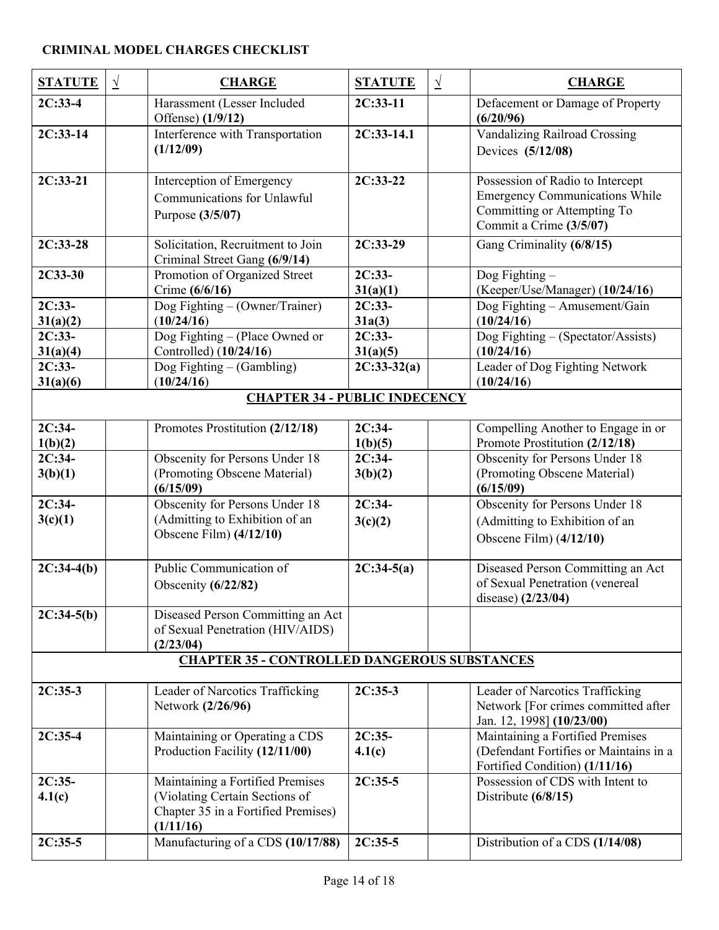| <b>STATUTE</b>                                      | $\sqrt{ }$ | <b>CHARGE</b>                                                                                                          | <b>STATUTE</b>       | $\sqrt{ }$ | <b>CHARGE</b>                                                                                                                       |  |
|-----------------------------------------------------|------------|------------------------------------------------------------------------------------------------------------------------|----------------------|------------|-------------------------------------------------------------------------------------------------------------------------------------|--|
| $2C:33-4$                                           |            | Harassment (Lesser Included<br>Offense) (1/9/12)                                                                       | 2C:33-11             |            | Defacement or Damage of Property<br>(6/20/96)                                                                                       |  |
| $2C:33-14$                                          |            | Interference with Transportation<br>(1/12/09)                                                                          | $2C:33-14.1$         |            | <b>Vandalizing Railroad Crossing</b><br>Devices (5/12/08)                                                                           |  |
| $2C:33-21$                                          |            | Interception of Emergency<br>Communications for Unlawful<br>Purpose (3/5/07)                                           | $2C:33-22$           |            | Possession of Radio to Intercept<br><b>Emergency Communications While</b><br>Committing or Attempting To<br>Commit a Crime (3/5/07) |  |
| $2C:33-28$                                          |            | Solicitation, Recruitment to Join<br>Criminal Street Gang (6/9/14)                                                     | $2C:33-29$           |            | Gang Criminality (6/8/15)                                                                                                           |  |
| 2C33-30                                             |            | Promotion of Organized Street<br>Crime $(6/6/16)$                                                                      | $2C:33-$<br>31(a)(1) |            | Dog Fighting $-$<br>(Keeper/Use/Manager) (10/24/16)                                                                                 |  |
| $2C:33-$<br>31(a)(2)                                |            | Dog Fighting - (Owner/Trainer)<br>(10/24/16)                                                                           | $2C:33-$<br>31a(3)   |            | Dog Fighting - Amusement/Gain<br>(10/24/16)                                                                                         |  |
| $2C:33-$<br>31(a)(4)                                |            | Dog Fighting - (Place Owned or<br>Controlled) (10/24/16)                                                               | $2C:33-$<br>31(a)(5) |            | Dog Fighting - (Spectator/Assists)<br>(10/24/16)                                                                                    |  |
| $2C:33-$<br>31(a)(6)                                |            | Dog Fighting $-$ (Gambling)<br>(10/24/16)                                                                              | $2C:33-32(a)$        |            | Leader of Dog Fighting Network<br>(10/24/16)                                                                                        |  |
| <b>CHAPTER 34 - PUBLIC INDECENCY</b>                |            |                                                                                                                        |                      |            |                                                                                                                                     |  |
| 2C:34-<br>1(b)(2)                                   |            | Promotes Prostitution (2/12/18)                                                                                        | 2C:34-<br>1(b)(5)    |            | Compelling Another to Engage in or<br>Promote Prostitution (2/12/18)                                                                |  |
| 2C:34-<br>3(b)(1)                                   |            | Obscenity for Persons Under 18<br>(Promoting Obscene Material)<br>(6/15/09)                                            | $2C:34-$<br>3(b)(2)  |            | Obscenity for Persons Under 18<br>(Promoting Obscene Material)<br>(6/15/09)                                                         |  |
| 2C:34-<br>3(c)(1)                                   |            | Obscenity for Persons Under 18<br>(Admitting to Exhibition of an<br>Obscene Film) $(4/12/10)$                          | $2C:34-$<br>3(c)(2)  |            | Obscenity for Persons Under 18<br>(Admitting to Exhibition of an<br>Obscene Film) $(4/12/10)$                                       |  |
| $2C:34-4(b)$                                        |            | Public Communication of<br>Obscenity (6/22/82)                                                                         | $2C:34-5(a)$         |            | Diseased Person Committing an Act<br>of Sexual Penetration (venereal<br>disease) $(2/23/04)$                                        |  |
| $2C:34-5(b)$                                        |            | Diseased Person Committing an Act<br>of Sexual Penetration (HIV/AIDS)<br>(2/23/04)                                     |                      |            |                                                                                                                                     |  |
| <b>CHAPTER 35 - CONTROLLED DANGEROUS SUBSTANCES</b> |            |                                                                                                                        |                      |            |                                                                                                                                     |  |
| $2C:35-3$                                           |            | Leader of Narcotics Trafficking<br>Network (2/26/96)                                                                   | $2C:35-3$            |            | Leader of Narcotics Trafficking<br>Network [For crimes committed after<br>Jan. 12, 1998] (10/23/00)                                 |  |
| $2C:35-4$                                           |            | Maintaining or Operating a CDS<br>Production Facility (12/11/00)                                                       | $2C:35-$<br>4.1(c)   |            | Maintaining a Fortified Premises<br>(Defendant Fortifies or Maintains in a<br>Fortified Condition) (1/11/16)                        |  |
| $2C:35-$<br>4.1(c)                                  |            | Maintaining a Fortified Premises<br>(Violating Certain Sections of<br>Chapter 35 in a Fortified Premises)<br>(1/11/16) | $2C:35-5$            |            | Possession of CDS with Intent to<br>Distribute $(6/8/15)$                                                                           |  |
| $2C:35-5$                                           |            | Manufacturing of a CDS (10/17/88)                                                                                      | $2C:35-5$            |            | Distribution of a CDS (1/14/08)                                                                                                     |  |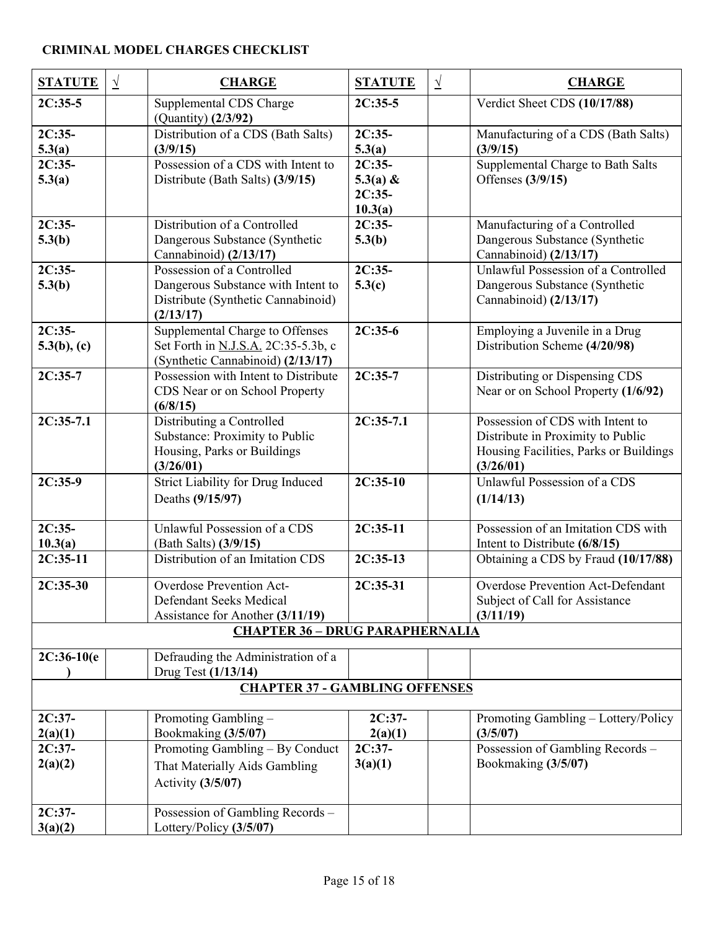| <b>STATUTE</b>                             | $\sqrt{ }$ | <b>CHARGE</b>                                                                                                       | <b>STATUTE</b>                                | $\sqrt{ }$ | <b>CHARGE</b>                                                                                                                |
|--------------------------------------------|------------|---------------------------------------------------------------------------------------------------------------------|-----------------------------------------------|------------|------------------------------------------------------------------------------------------------------------------------------|
| $2C:35-5$                                  |            | Supplemental CDS Charge<br>(Quantity) (2/3/92)                                                                      | $2C:35-5$                                     |            | Verdict Sheet CDS (10/17/88)                                                                                                 |
| 2C:35-<br>5.3(a)                           |            | Distribution of a CDS (Bath Salts)<br>(3/9/15)                                                                      | $2C:35-$<br>5.3(a)                            |            | Manufacturing of a CDS (Bath Salts)<br>(3/9/15)                                                                              |
| $2C:35-$<br>5.3(a)                         |            | Possession of a CDS with Intent to<br>Distribute (Bath Salts) (3/9/15)                                              | $2C:35-$<br>$5.3(a)$ &<br>$2C:35-$<br>10.3(a) |            | Supplemental Charge to Bath Salts<br>Offenses (3/9/15)                                                                       |
| 2C:35-<br>5.3(b)                           |            | Distribution of a Controlled<br>Dangerous Substance (Synthetic<br>Cannabinoid) (2/13/17)                            | $2C:35-$<br>5.3(b)                            |            | Manufacturing of a Controlled<br>Dangerous Substance (Synthetic<br>Cannabinoid) (2/13/17)                                    |
| 2C:35-<br>5.3(b)                           |            | Possession of a Controlled<br>Dangerous Substance with Intent to<br>Distribute (Synthetic Cannabinoid)<br>(2/13/17) | $2C:35-$<br>5.3(c)                            |            | Unlawful Possession of a Controlled<br>Dangerous Substance (Synthetic<br>Cannabinoid) (2/13/17)                              |
| 2C:35-<br>$5.3(b)$ , (c)                   |            | Supplemental Charge to Offenses<br>Set Forth in N.J.S.A. 2C:35-5.3b, c<br>(Synthetic Cannabinoid) (2/13/17)         | $2C:35-6$                                     |            | Employing a Juvenile in a Drug<br>Distribution Scheme (4/20/98)                                                              |
| $2C:35-7$                                  |            | Possession with Intent to Distribute<br>CDS Near or on School Property<br>(6/8/15)                                  | $2C:35-7$                                     |            | Distributing or Dispensing CDS<br>Near or on School Property (1/6/92)                                                        |
| $2C:35-7.1$                                |            | Distributing a Controlled<br>Substance: Proximity to Public<br>Housing, Parks or Buildings<br>(3/26/01)             | $2C:35-7.1$                                   |            | Possession of CDS with Intent to<br>Distribute in Proximity to Public<br>Housing Facilities, Parks or Buildings<br>(3/26/01) |
| $2C:35-9$                                  |            | Strict Liability for Drug Induced<br>Deaths (9/15/97)                                                               | $2C:35-10$                                    |            | Unlawful Possession of a CDS<br>(1/14/13)                                                                                    |
| $2C:35-$<br>10.3(a)                        |            | Unlawful Possession of a CDS<br>(Bath Salts) (3/9/15)                                                               | 2C:35-11                                      |            | Possession of an Imitation CDS with<br>Intent to Distribute $(6/8/15)$                                                       |
| $2C:35-11$                                 |            | Distribution of an Imitation CDS                                                                                    | $2C:35-13$                                    |            | Obtaining a CDS by Fraud (10/17/88)                                                                                          |
| 2C:35-30                                   |            | Overdose Prevention Act-<br>Defendant Seeks Medical<br>Assistance for Another (3/11/19)                             | 2C:35-31                                      |            | <b>Overdose Prevention Act-Defendant</b><br>Subject of Call for Assistance<br>(3/11/19)                                      |
|                                            |            | <b>CHAPTER 36 - DRUG PARAPHERNALIA</b>                                                                              |                                               |            |                                                                                                                              |
| $2C:36-10(e)$                              |            | Defrauding the Administration of a<br>Drug Test (1/13/14)                                                           |                                               |            |                                                                                                                              |
|                                            |            | <b>CHAPTER 37 - GAMBLING OFFENSES</b>                                                                               |                                               |            |                                                                                                                              |
| $2C:37-$<br>2(a)(1)<br>$2C:37-$<br>2(a)(2) |            | Promoting Gambling -<br>Bookmaking (3/5/07)<br>Promoting Gambling - By Conduct                                      | $2C:37-$<br>2(a)(1)<br>$2C:37-$<br>3(a)(1)    |            | Promoting Gambling - Lottery/Policy<br>(3/5/07)<br>Possession of Gambling Records -<br>Bookmaking (3/5/07)                   |
| 2C:37-                                     |            | That Materially Aids Gambling<br>Activity (3/5/07)<br>Possession of Gambling Records -                              |                                               |            |                                                                                                                              |
| 3(a)(2)                                    |            | Lottery/Policy (3/5/07)                                                                                             |                                               |            |                                                                                                                              |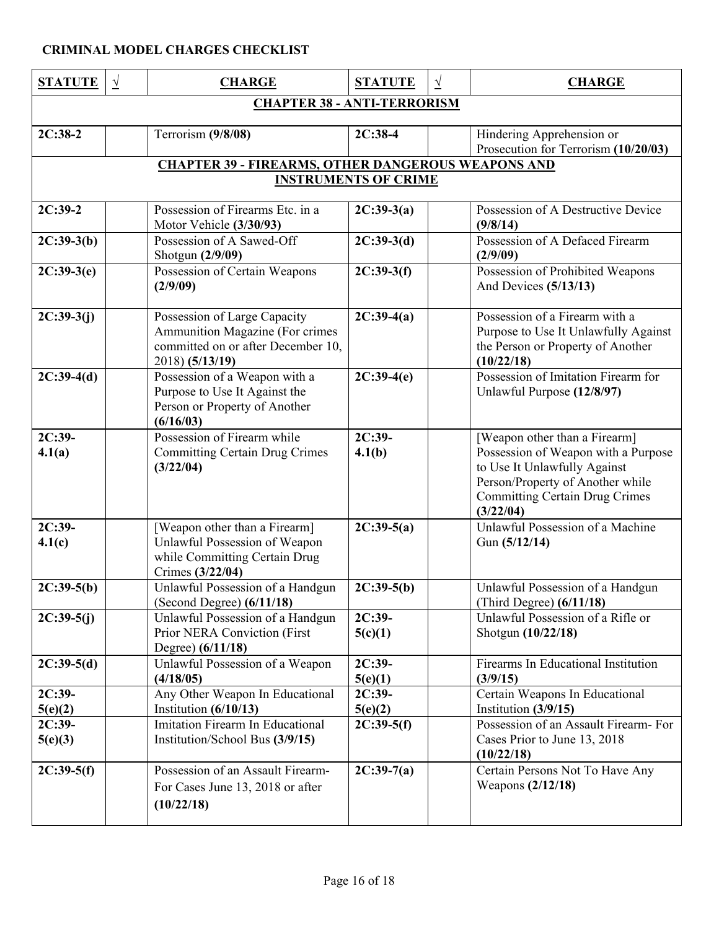| <b>STATUTE</b>                     | $\sqrt{ }$                                                | <b>CHARGE</b>                                                                                                            | <b>STATUTE</b>              | $\sqrt{ }$ | <b>CHARGE</b>                                                                                                                                                                                  |  |  |  |
|------------------------------------|-----------------------------------------------------------|--------------------------------------------------------------------------------------------------------------------------|-----------------------------|------------|------------------------------------------------------------------------------------------------------------------------------------------------------------------------------------------------|--|--|--|
| <b>CHAPTER 38 - ANTI-TERRORISM</b> |                                                           |                                                                                                                          |                             |            |                                                                                                                                                                                                |  |  |  |
| $2C:38-2$                          |                                                           | Terrorism (9/8/08)                                                                                                       | $2C:38-4$                   |            | Hindering Apprehension or<br>Prosecution for Terrorism (10/20/03)                                                                                                                              |  |  |  |
|                                    | <b>CHAPTER 39 - FIREARMS, OTHER DANGEROUS WEAPONS AND</b> |                                                                                                                          |                             |            |                                                                                                                                                                                                |  |  |  |
|                                    |                                                           |                                                                                                                          | <b>INSTRUMENTS OF CRIME</b> |            |                                                                                                                                                                                                |  |  |  |
| $2C:39-2$                          |                                                           | Possession of Firearms Etc. in a<br>Motor Vehicle (3/30/93)                                                              | $2C:39-3(a)$                |            | Possession of A Destructive Device<br>(9/8/14)                                                                                                                                                 |  |  |  |
| $2C:39-3(b)$                       |                                                           | Possession of A Sawed-Off<br>Shotgun (2/9/09)                                                                            | $2C:39-3(d)$                |            | Possession of A Defaced Firearm<br>(2/9/09)                                                                                                                                                    |  |  |  |
| $2C:39-3(e)$                       |                                                           | Possession of Certain Weapons<br>(2/9/09)                                                                                | $2C:39-3(f)$                |            | Possession of Prohibited Weapons<br>And Devices (5/13/13)                                                                                                                                      |  |  |  |
| $2C:39-3(j)$                       |                                                           | Possession of Large Capacity<br>Ammunition Magazine (For crimes<br>committed on or after December 10,<br>2018) (5/13/19) | $2C:39-4(a)$                |            | Possession of a Firearm with a<br>Purpose to Use It Unlawfully Against<br>the Person or Property of Another<br>(10/22/18)                                                                      |  |  |  |
| $2C:39-4(d)$                       |                                                           | Possession of a Weapon with a<br>Purpose to Use It Against the<br>Person or Property of Another<br>(6/16/03)             | $2C:39-4(e)$                |            | Possession of Imitation Firearm for<br>Unlawful Purpose (12/8/97)                                                                                                                              |  |  |  |
| 2C:39-<br>4.1(a)                   |                                                           | Possession of Firearm while<br><b>Committing Certain Drug Crimes</b><br>(3/22/04)                                        | $2C:39-$<br>4.1(b)          |            | [Weapon other than a Firearm]<br>Possession of Weapon with a Purpose<br>to Use It Unlawfully Against<br>Person/Property of Another while<br><b>Committing Certain Drug Crimes</b><br>(3/22/04) |  |  |  |
| 2C:39-<br>4.1(c)                   |                                                           | [Weapon other than a Firearm]<br>Unlawful Possession of Weapon<br>while Committing Certain Drug<br>Crimes (3/22/04)      | $2C:39-5(a)$                |            | Unlawful Possession of a Machine<br>Gun (5/12/14)                                                                                                                                              |  |  |  |
| $2C:39-5(b)$                       |                                                           | Unlawful Possession of a Handgun<br>(Second Degree) (6/11/18)                                                            | $2C:39-5(b)$                |            | Unlawful Possession of a Handgun<br>(Third Degree) $(6/11/18)$                                                                                                                                 |  |  |  |
| $2C:39-5(j)$                       |                                                           | Unlawful Possession of a Handgun<br>Prior NERA Conviction (First<br>Degree) (6/11/18)                                    | 2C:39-<br>5(c)(1)           |            | Unlawful Possession of a Rifle or<br>Shotgun (10/22/18)                                                                                                                                        |  |  |  |
| $2C:39-5(d)$                       |                                                           | Unlawful Possession of a Weapon<br>(4/18/05)                                                                             | 2C:39-<br>5(e)(1)           |            | Firearms In Educational Institution<br>(3/9/15)                                                                                                                                                |  |  |  |
| $2C:39-$                           |                                                           | Any Other Weapon In Educational                                                                                          | $2C:39-$                    |            | Certain Weapons In Educational                                                                                                                                                                 |  |  |  |
| 5(e)(2)                            |                                                           | Institution $(6/10/13)$                                                                                                  | 5(e)(2)                     |            | Institution $(3/9/15)$                                                                                                                                                                         |  |  |  |
| $2C:39-$<br>5(e)(3)                |                                                           | <b>Imitation Firearm In Educational</b><br>Institution/School Bus (3/9/15)                                               | $2C:39-5(f)$                |            | Possession of an Assault Firearm- For<br>Cases Prior to June 13, 2018<br>(10/22/18)                                                                                                            |  |  |  |
| $2C:39-5(f)$                       |                                                           | Possession of an Assault Firearm-<br>For Cases June 13, 2018 or after<br>(10/22/18)                                      | $2C:39-7(a)$                |            | Certain Persons Not To Have Any<br>Weapons (2/12/18)                                                                                                                                           |  |  |  |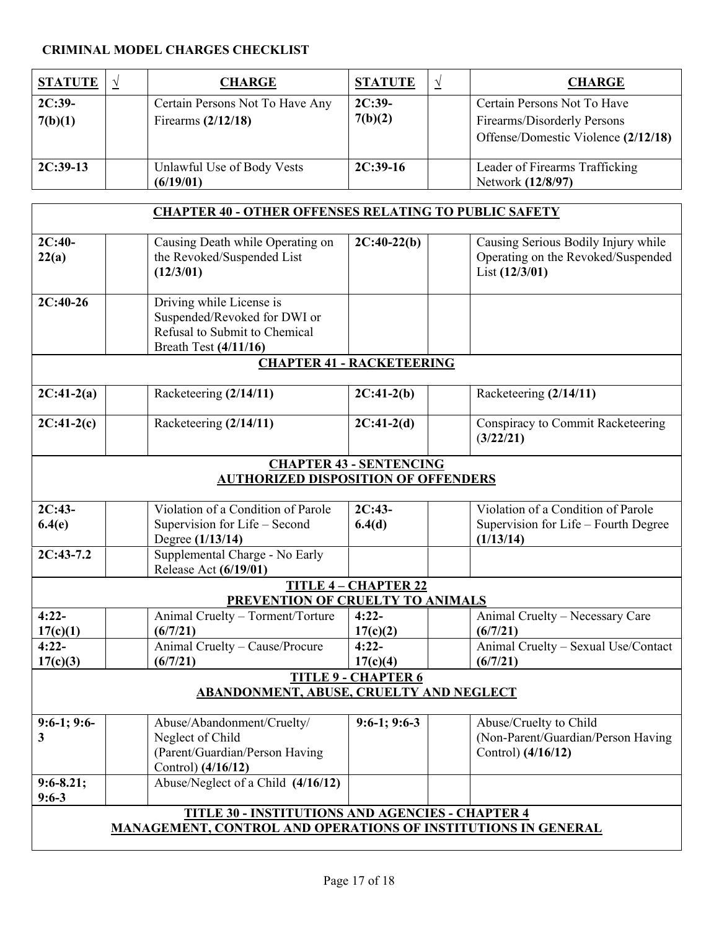| <b>STATUTE</b>      | <b>CHARGE</b>                                           | <b>STATUTE</b>      | <b>CHARGE</b>                                                                                     |
|---------------------|---------------------------------------------------------|---------------------|---------------------------------------------------------------------------------------------------|
| $2C:39-$<br>7(b)(1) | Certain Persons Not To Have Any<br>Firearms $(2/12/18)$ | $2C:39-$<br>7(b)(2) | Certain Persons Not To Have<br>Firearms/Disorderly Persons<br>Offense/Domestic Violence (2/12/18) |
| $2C:39-13$          | Unlawful Use of Body Vests<br>(6/19/01)                 | $2C:39-16$          | Leader of Firearms Trafficking<br>Network (12/8/97)                                               |

|                                                                              | <b>CHAPTER 40 - OTHER OFFENSES RELATING TO PUBLIC SAFETY</b>                                                              |                              |                                                                                               |  |  |  |
|------------------------------------------------------------------------------|---------------------------------------------------------------------------------------------------------------------------|------------------------------|-----------------------------------------------------------------------------------------------|--|--|--|
| $2C:40-$<br>22(a)                                                            | Causing Death while Operating on<br>the Revoked/Suspended List<br>(12/3/01)                                               | $2C:40-22(b)$                | Causing Serious Bodily Injury while<br>Operating on the Revoked/Suspended<br>List $(12/3/01)$ |  |  |  |
| $2C:40-26$                                                                   | Driving while License is<br>Suspended/Revoked for DWI or<br>Refusal to Submit to Chemical<br><b>Breath Test (4/11/16)</b> |                              |                                                                                               |  |  |  |
|                                                                              | <b>CHAPTER 41 - RACKETEERING</b>                                                                                          |                              |                                                                                               |  |  |  |
| $2C:41-2(a)$                                                                 | Racketeering (2/14/11)                                                                                                    | $2C:41-2(b)$                 | Racketeering (2/14/11)                                                                        |  |  |  |
| $2C:41-2(c)$                                                                 | Racketeering (2/14/11)                                                                                                    | $2C:41-2(d)$                 | Conspiracy to Commit Racketeering<br>(3/22/21)                                                |  |  |  |
| <b>CHAPTER 43 - SENTENCING</b>                                               |                                                                                                                           |                              |                                                                                               |  |  |  |
|                                                                              | <b>AUTHORIZED DISPOSITION OF OFFENDERS</b>                                                                                |                              |                                                                                               |  |  |  |
| $2C:43-$<br>6.4(e)                                                           | Violation of a Condition of Parole<br>Supervision for Life - Second<br>Degree (1/13/14)                                   | $2C:43-$<br>6.4 <sub>d</sub> | Violation of a Condition of Parole<br>Supervision for Life - Fourth Degree<br>(1/13/14)       |  |  |  |
| $2C:43-7.2$                                                                  | Supplemental Charge - No Early<br>Release Act (6/19/01)                                                                   |                              |                                                                                               |  |  |  |
| <b>TITLE 4 - CHAPTER 22</b><br>PREVENTION OF CRUELTY TO ANIMALS              |                                                                                                                           |                              |                                                                                               |  |  |  |
| $4:22-$                                                                      |                                                                                                                           | $4:22-$                      |                                                                                               |  |  |  |
| 17(c)(1)                                                                     | Animal Cruelty - Torment/Torture<br>(6/7/21)                                                                              | 17(c)(2)                     | Animal Cruelty - Necessary Care<br>(6/7/21)                                                   |  |  |  |
| $4:22-$                                                                      | Animal Cruelty - Cause/Procure                                                                                            | $4:22-$                      | Animal Cruelty - Sexual Use/Contact                                                           |  |  |  |
| 17(c)(3)                                                                     | (6/7/21)                                                                                                                  | 17(c)(4)                     | (6/7/21)                                                                                      |  |  |  |
| <b>TITLE 9 - CHAPTER 6</b><br><b>ABANDONMENT, ABUSE, CRUELTY AND NEGLECT</b> |                                                                                                                           |                              |                                                                                               |  |  |  |
| $9:6-1; 9:6-$<br>$\overline{3}$                                              | Abuse/Abandonment/Cruelty/<br>Neglect of Child<br>(Parent/Guardian/Person Having<br>Control) (4/16/12)                    | $9:6-1; 9:6-3$               | Abuse/Cruelty to Child<br>(Non-Parent/Guardian/Person Having<br>Control) (4/16/12)            |  |  |  |
| $9:6 - 8.21;$<br>$9:6 - 3$                                                   | Abuse/Neglect of a Child (4/16/12)                                                                                        |                              |                                                                                               |  |  |  |
|                                                                              | <b>TITLE 30 - INSTITUTIONS AND AGENCIES - CHAPTER 4</b>                                                                   |                              |                                                                                               |  |  |  |
| <b>MANAGEMENT, CONTROL AND OPERATIONS OF INSTITUTIONS IN GENERAL</b>         |                                                                                                                           |                              |                                                                                               |  |  |  |